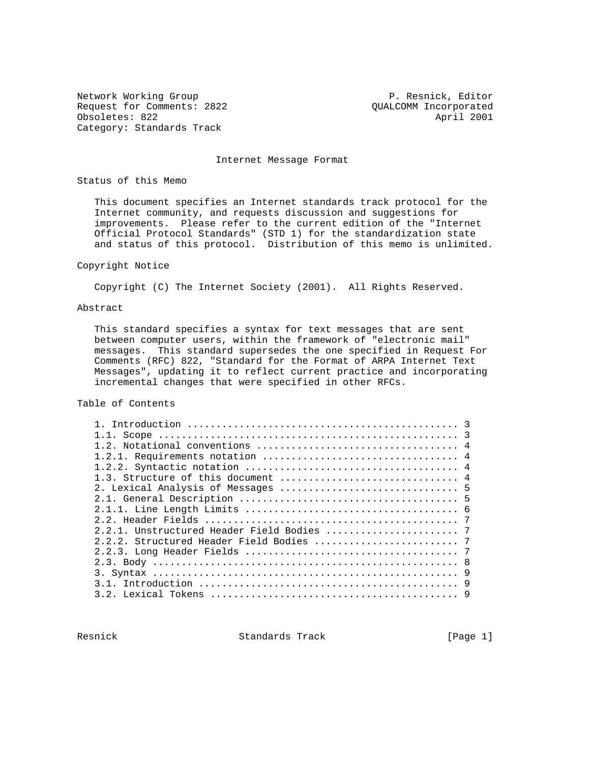Network Working Group **P. Resnick, Editor** Request for Comments: 2822 QUALCOMM Incorporated Obsoletes: 822 April 2001 Category: Standards Track

Internet Message Format

Status of this Memo

 This document specifies an Internet standards track protocol for the Internet community, and requests discussion and suggestions for improvements. Please refer to the current edition of the "Internet Official Protocol Standards" (STD 1) for the standardization state and status of this protocol. Distribution of this memo is unlimited.

# Copyright Notice

Copyright (C) The Internet Society (2001). All Rights Reserved.

### Abstract

 This standard specifies a syntax for text messages that are sent between computer users, within the framework of "electronic mail" messages. This standard supersedes the one specified in Request For Comments (RFC) 822, "Standard for the Format of ARPA Internet Text Messages", updating it to reflect current practice and incorporating incremental changes that were specified in other RFCs.

Table of Contents

Resnick **Standards Track** [Page 1]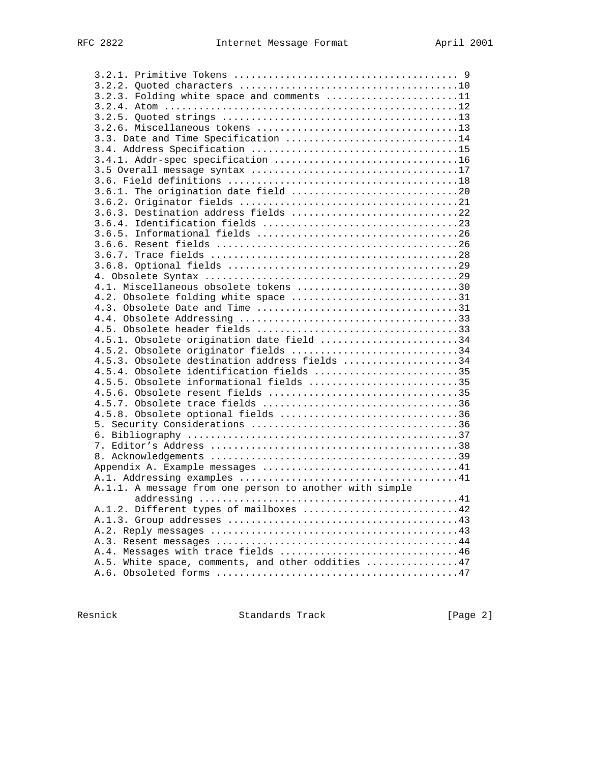| 3.2.3. Folding white space and comments 11              |
|---------------------------------------------------------|
|                                                         |
|                                                         |
|                                                         |
| 3.3. Date and Time Specification 14                     |
|                                                         |
|                                                         |
|                                                         |
|                                                         |
| 3.6.1. The origination date field 20                    |
|                                                         |
| 3.6.3. Destination address fields 22                    |
|                                                         |
|                                                         |
|                                                         |
|                                                         |
|                                                         |
|                                                         |
| 4.1. Miscellaneous obsolete tokens 30                   |
| 4.2. Obsolete folding white space 31                    |
|                                                         |
|                                                         |
|                                                         |
| 4.5.1. Obsolete origination date field 34               |
| 4.5.2. Obsolete originator fields 34                    |
| 4.5.3. Obsolete destination address fields 34           |
| 4.5.4. Obsolete identification fields 35                |
| 4.5.5. Obsolete informational fields 35                 |
| 4.5.6. Obsolete resent fields 35                        |
|                                                         |
| 4.5.8. Obsolete optional fields 36                      |
|                                                         |
|                                                         |
|                                                         |
|                                                         |
|                                                         |
|                                                         |
| A.1.1. A message from one person to another with simple |
|                                                         |
| A.1.2. Different types of mailboxes 42                  |
|                                                         |
|                                                         |
|                                                         |
| A.4. Messages with trace fields 46                      |
| A.5. White space, comments, and other oddities 47       |
|                                                         |

Resnick Standards Track [Page 2]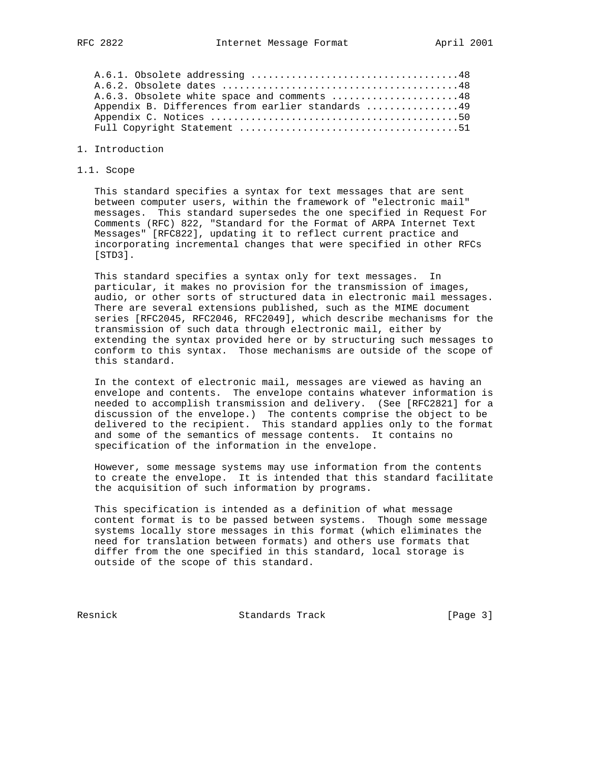| A.6.3. Obsolete white space and comments 48       |
|---------------------------------------------------|
| Appendix B. Differences from earlier standards 49 |
|                                                   |
|                                                   |

## 1. Introduction

1.1. Scope

 This standard specifies a syntax for text messages that are sent between computer users, within the framework of "electronic mail" messages. This standard supersedes the one specified in Request For Comments (RFC) 822, "Standard for the Format of ARPA Internet Text Messages" [RFC822], updating it to reflect current practice and incorporating incremental changes that were specified in other RFCs [STD3].

 This standard specifies a syntax only for text messages. In particular, it makes no provision for the transmission of images, audio, or other sorts of structured data in electronic mail messages. There are several extensions published, such as the MIME document series [RFC2045, RFC2046, RFC2049], which describe mechanisms for the transmission of such data through electronic mail, either by extending the syntax provided here or by structuring such messages to conform to this syntax. Those mechanisms are outside of the scope of this standard.

 In the context of electronic mail, messages are viewed as having an envelope and contents. The envelope contains whatever information is needed to accomplish transmission and delivery. (See [RFC2821] for a discussion of the envelope.) The contents comprise the object to be delivered to the recipient. This standard applies only to the format and some of the semantics of message contents. It contains no specification of the information in the envelope.

 However, some message systems may use information from the contents to create the envelope. It is intended that this standard facilitate the acquisition of such information by programs.

 This specification is intended as a definition of what message content format is to be passed between systems. Though some message systems locally store messages in this format (which eliminates the need for translation between formats) and others use formats that differ from the one specified in this standard, local storage is outside of the scope of this standard.

Resnick Standards Track [Page 3]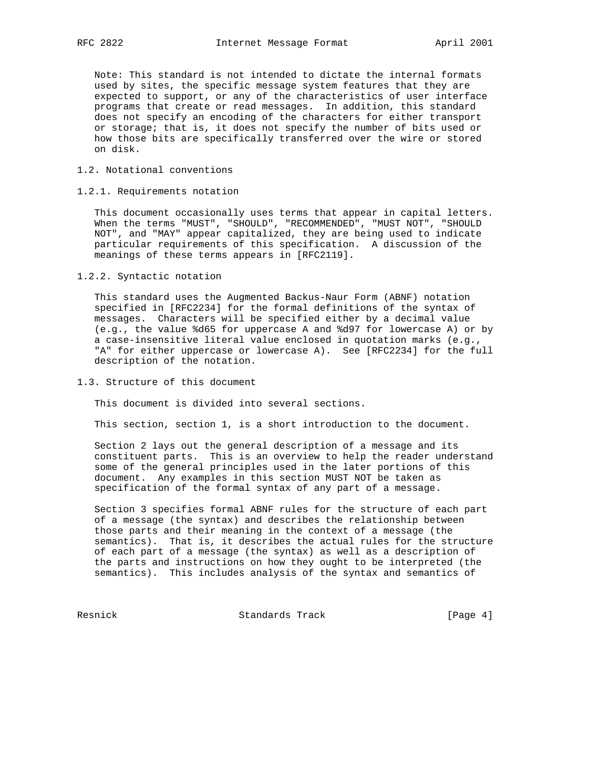Note: This standard is not intended to dictate the internal formats used by sites, the specific message system features that they are expected to support, or any of the characteristics of user interface programs that create or read messages. In addition, this standard does not specify an encoding of the characters for either transport or storage; that is, it does not specify the number of bits used or how those bits are specifically transferred over the wire or stored on disk.

## 1.2. Notational conventions

## 1.2.1. Requirements notation

 This document occasionally uses terms that appear in capital letters. When the terms "MUST", "SHOULD", "RECOMMENDED", "MUST NOT", "SHOULD NOT", and "MAY" appear capitalized, they are being used to indicate particular requirements of this specification. A discussion of the meanings of these terms appears in [RFC2119].

1.2.2. Syntactic notation

 This standard uses the Augmented Backus-Naur Form (ABNF) notation specified in [RFC2234] for the formal definitions of the syntax of messages. Characters will be specified either by a decimal value (e.g., the value %d65 for uppercase A and %d97 for lowercase A) or by a case-insensitive literal value enclosed in quotation marks (e.g., "A" for either uppercase or lowercase A). See [RFC2234] for the full description of the notation.

1.3. Structure of this document

This document is divided into several sections.

This section, section 1, is a short introduction to the document.

 Section 2 lays out the general description of a message and its constituent parts. This is an overview to help the reader understand some of the general principles used in the later portions of this document. Any examples in this section MUST NOT be taken as specification of the formal syntax of any part of a message.

 Section 3 specifies formal ABNF rules for the structure of each part of a message (the syntax) and describes the relationship between those parts and their meaning in the context of a message (the semantics). That is, it describes the actual rules for the structure of each part of a message (the syntax) as well as a description of the parts and instructions on how they ought to be interpreted (the semantics). This includes analysis of the syntax and semantics of

Resnick Standards Track [Page 4]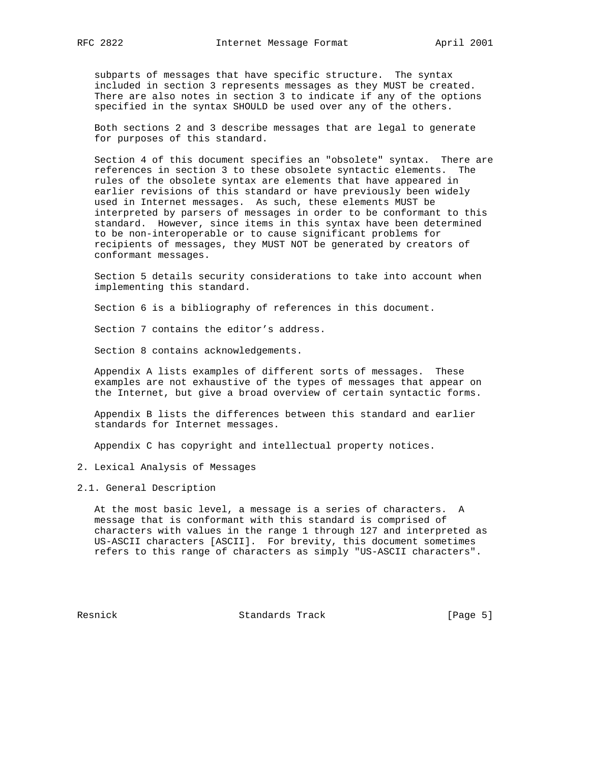subparts of messages that have specific structure. The syntax included in section 3 represents messages as they MUST be created. There are also notes in section 3 to indicate if any of the options specified in the syntax SHOULD be used over any of the others.

 Both sections 2 and 3 describe messages that are legal to generate for purposes of this standard.

 Section 4 of this document specifies an "obsolete" syntax. There are references in section 3 to these obsolete syntactic elements. The rules of the obsolete syntax are elements that have appeared in earlier revisions of this standard or have previously been widely used in Internet messages. As such, these elements MUST be interpreted by parsers of messages in order to be conformant to this standard. However, since items in this syntax have been determined to be non-interoperable or to cause significant problems for recipients of messages, they MUST NOT be generated by creators of conformant messages.

 Section 5 details security considerations to take into account when implementing this standard.

Section 6 is a bibliography of references in this document.

Section 7 contains the editor's address.

Section 8 contains acknowledgements.

 Appendix A lists examples of different sorts of messages. These examples are not exhaustive of the types of messages that appear on the Internet, but give a broad overview of certain syntactic forms.

 Appendix B lists the differences between this standard and earlier standards for Internet messages.

Appendix C has copyright and intellectual property notices.

2. Lexical Analysis of Messages

2.1. General Description

 At the most basic level, a message is a series of characters. A message that is conformant with this standard is comprised of characters with values in the range 1 through 127 and interpreted as US-ASCII characters [ASCII]. For brevity, this document sometimes refers to this range of characters as simply "US-ASCII characters".

Resnick Standards Track [Page 5]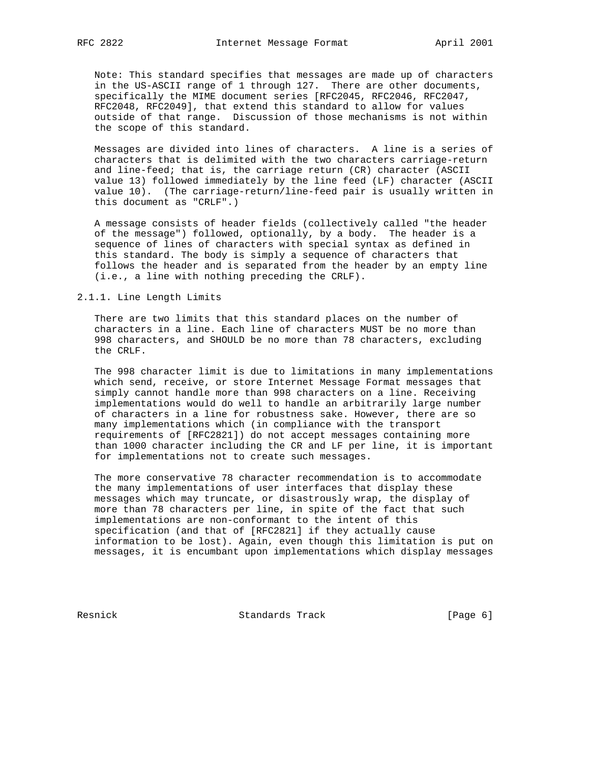Note: This standard specifies that messages are made up of characters in the US-ASCII range of 1 through 127. There are other documents, specifically the MIME document series [RFC2045, RFC2046, RFC2047, RFC2048, RFC2049], that extend this standard to allow for values outside of that range. Discussion of those mechanisms is not within the scope of this standard.

 Messages are divided into lines of characters. A line is a series of characters that is delimited with the two characters carriage-return and line-feed; that is, the carriage return (CR) character (ASCII value 13) followed immediately by the line feed (LF) character (ASCII value 10). (The carriage-return/line-feed pair is usually written in this document as "CRLF".)

 A message consists of header fields (collectively called "the header of the message") followed, optionally, by a body. The header is a sequence of lines of characters with special syntax as defined in this standard. The body is simply a sequence of characters that follows the header and is separated from the header by an empty line (i.e., a line with nothing preceding the CRLF).

2.1.1. Line Length Limits

 There are two limits that this standard places on the number of characters in a line. Each line of characters MUST be no more than 998 characters, and SHOULD be no more than 78 characters, excluding the CRLF.

 The 998 character limit is due to limitations in many implementations which send, receive, or store Internet Message Format messages that simply cannot handle more than 998 characters on a line. Receiving implementations would do well to handle an arbitrarily large number of characters in a line for robustness sake. However, there are so many implementations which (in compliance with the transport requirements of [RFC2821]) do not accept messages containing more than 1000 character including the CR and LF per line, it is important for implementations not to create such messages.

 The more conservative 78 character recommendation is to accommodate the many implementations of user interfaces that display these messages which may truncate, or disastrously wrap, the display of more than 78 characters per line, in spite of the fact that such implementations are non-conformant to the intent of this specification (and that of [RFC2821] if they actually cause information to be lost). Again, even though this limitation is put on messages, it is encumbant upon implementations which display messages

Resnick Standards Track [Page 6]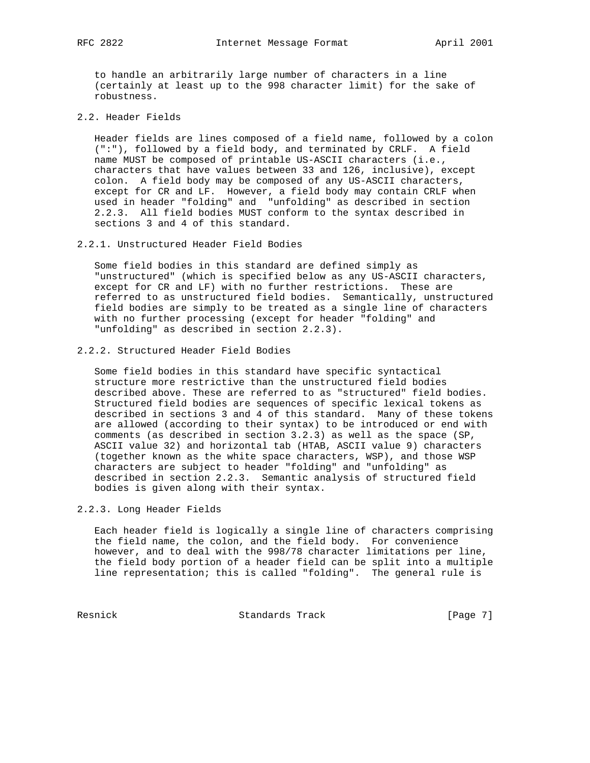to handle an arbitrarily large number of characters in a line (certainly at least up to the 998 character limit) for the sake of robustness.

2.2. Header Fields

 Header fields are lines composed of a field name, followed by a colon (":"), followed by a field body, and terminated by CRLF. A field name MUST be composed of printable US-ASCII characters (i.e., characters that have values between 33 and 126, inclusive), except colon. A field body may be composed of any US-ASCII characters, except for CR and LF. However, a field body may contain CRLF when used in header "folding" and "unfolding" as described in section 2.2.3. All field bodies MUST conform to the syntax described in sections 3 and 4 of this standard.

2.2.1. Unstructured Header Field Bodies

 Some field bodies in this standard are defined simply as "unstructured" (which is specified below as any US-ASCII characters, except for CR and LF) with no further restrictions. These are referred to as unstructured field bodies. Semantically, unstructured field bodies are simply to be treated as a single line of characters with no further processing (except for header "folding" and "unfolding" as described in section 2.2.3).

2.2.2. Structured Header Field Bodies

 Some field bodies in this standard have specific syntactical structure more restrictive than the unstructured field bodies described above. These are referred to as "structured" field bodies. Structured field bodies are sequences of specific lexical tokens as described in sections 3 and 4 of this standard. Many of these tokens are allowed (according to their syntax) to be introduced or end with comments (as described in section 3.2.3) as well as the space (SP, ASCII value 32) and horizontal tab (HTAB, ASCII value 9) characters (together known as the white space characters, WSP), and those WSP characters are subject to header "folding" and "unfolding" as described in section 2.2.3. Semantic analysis of structured field bodies is given along with their syntax.

## 2.2.3. Long Header Fields

 Each header field is logically a single line of characters comprising the field name, the colon, and the field body. For convenience however, and to deal with the 998/78 character limitations per line, the field body portion of a header field can be split into a multiple line representation; this is called "folding". The general rule is

Resnick Standards Track [Page 7]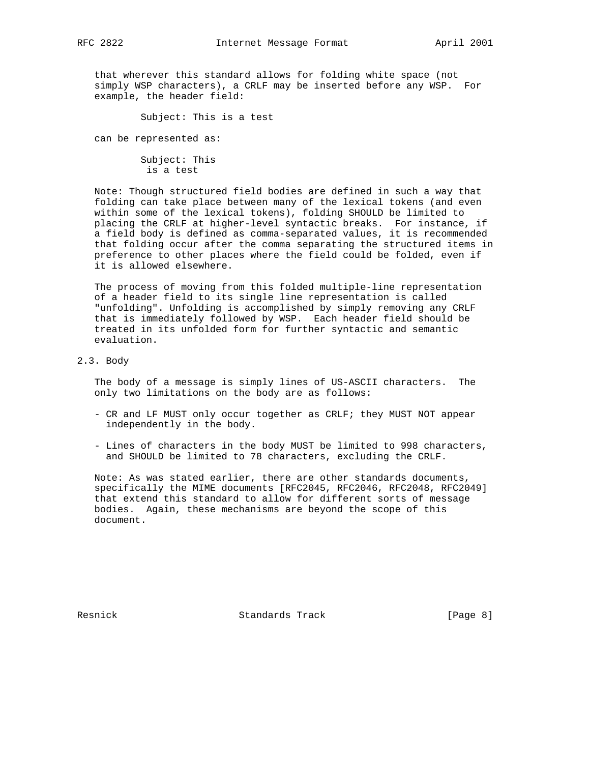that wherever this standard allows for folding white space (not simply WSP characters), a CRLF may be inserted before any WSP. For example, the header field:

Subject: This is a test

can be represented as:

 Subject: This is a test

 Note: Though structured field bodies are defined in such a way that folding can take place between many of the lexical tokens (and even within some of the lexical tokens), folding SHOULD be limited to placing the CRLF at higher-level syntactic breaks. For instance, if a field body is defined as comma-separated values, it is recommended that folding occur after the comma separating the structured items in preference to other places where the field could be folded, even if it is allowed elsewhere.

 The process of moving from this folded multiple-line representation of a header field to its single line representation is called "unfolding". Unfolding is accomplished by simply removing any CRLF that is immediately followed by WSP. Each header field should be treated in its unfolded form for further syntactic and semantic evaluation.

#### 2.3. Body

 The body of a message is simply lines of US-ASCII characters. The only two limitations on the body are as follows:

- CR and LF MUST only occur together as CRLF; they MUST NOT appear independently in the body.
- Lines of characters in the body MUST be limited to 998 characters, and SHOULD be limited to 78 characters, excluding the CRLF.

 Note: As was stated earlier, there are other standards documents, specifically the MIME documents [RFC2045, RFC2046, RFC2048, RFC2049] that extend this standard to allow for different sorts of message bodies. Again, these mechanisms are beyond the scope of this document.

Resnick **Standards Track** (Page 8)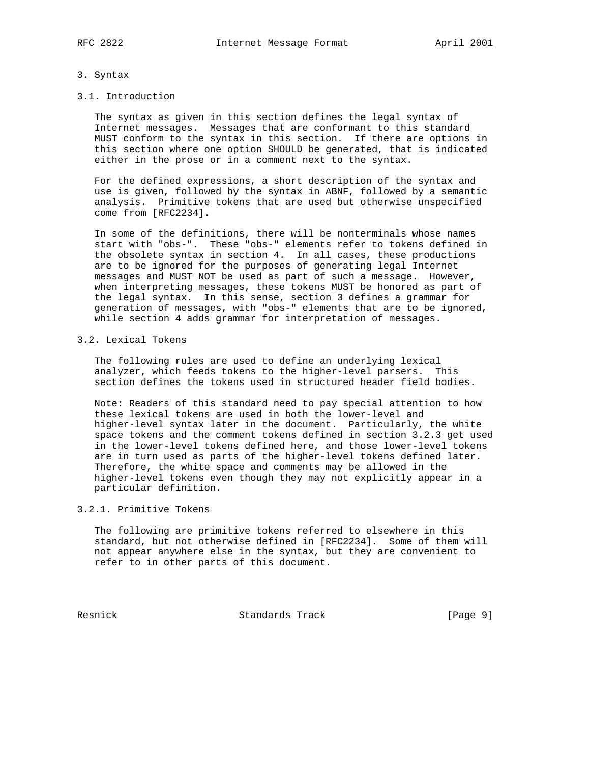## 3. Syntax

#### 3.1. Introduction

 The syntax as given in this section defines the legal syntax of Internet messages. Messages that are conformant to this standard MUST conform to the syntax in this section. If there are options in this section where one option SHOULD be generated, that is indicated either in the prose or in a comment next to the syntax.

 For the defined expressions, a short description of the syntax and use is given, followed by the syntax in ABNF, followed by a semantic analysis. Primitive tokens that are used but otherwise unspecified come from [RFC2234].

 In some of the definitions, there will be nonterminals whose names start with "obs-". These "obs-" elements refer to tokens defined in the obsolete syntax in section 4. In all cases, these productions are to be ignored for the purposes of generating legal Internet messages and MUST NOT be used as part of such a message. However, when interpreting messages, these tokens MUST be honored as part of the legal syntax. In this sense, section 3 defines a grammar for generation of messages, with "obs-" elements that are to be ignored, while section 4 adds grammar for interpretation of messages.

#### 3.2. Lexical Tokens

 The following rules are used to define an underlying lexical analyzer, which feeds tokens to the higher-level parsers. This section defines the tokens used in structured header field bodies.

 Note: Readers of this standard need to pay special attention to how these lexical tokens are used in both the lower-level and higher-level syntax later in the document. Particularly, the white space tokens and the comment tokens defined in section 3.2.3 get used in the lower-level tokens defined here, and those lower-level tokens are in turn used as parts of the higher-level tokens defined later. Therefore, the white space and comments may be allowed in the higher-level tokens even though they may not explicitly appear in a particular definition.

## 3.2.1. Primitive Tokens

 The following are primitive tokens referred to elsewhere in this standard, but not otherwise defined in [RFC2234]. Some of them will not appear anywhere else in the syntax, but they are convenient to refer to in other parts of this document.

Resnick Standards Track [Page 9]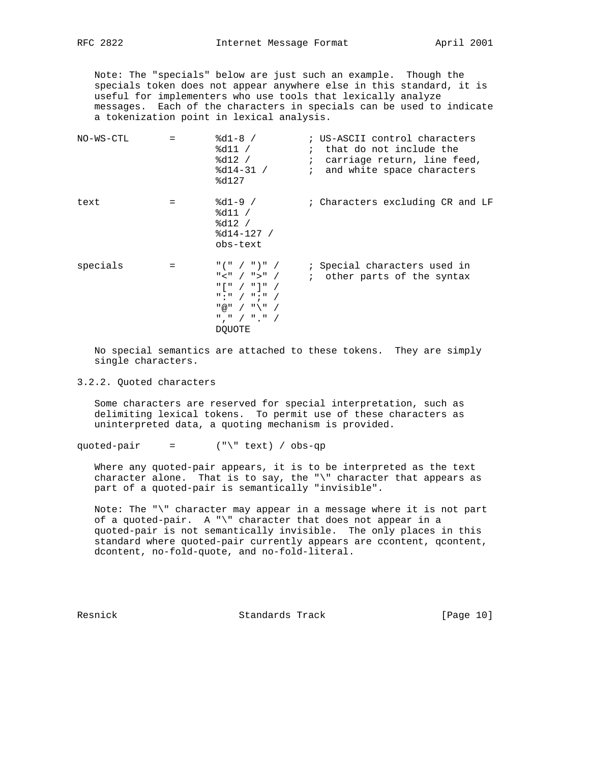Note: The "specials" below are just such an example. Though the specials token does not appear anywhere else in this standard, it is useful for implementers who use tools that lexically analyze messages. Each of the characters in specials can be used to indicate a tokenization point in lexical analysis.

| NO-WS-CTL | $=$ | $8d1-8 /$<br>%d11 /<br>$8d12$ /<br>$8d14-31$ /<br>8d127                                                                                                                                                                                                                                                                                                          | ; US-ASCII control characters<br>; that do not include the<br>; carriage return, line feed,<br><i>i</i> and white space characters |
|-----------|-----|------------------------------------------------------------------------------------------------------------------------------------------------------------------------------------------------------------------------------------------------------------------------------------------------------------------------------------------------------------------|------------------------------------------------------------------------------------------------------------------------------------|
| text      |     | $8d1-9$ /<br>$\delta d11 /$<br>8d12 /<br>$8d14-127$ /<br>obs-text                                                                                                                                                                                                                                                                                                | ; Characters excluding CR and LF                                                                                                   |
| specials  |     | $\frac{11}{2}$ ( $\frac{11}{2}$ / $\frac{11}{2}$ / $\frac{11}{2}$ / $\frac{11}{2}$<br>" < " / " > " /<br>$\blacksquare$   $\blacksquare$ $\blacksquare$ $\blacksquare$ $\blacksquare$ $\blacksquare$ $\blacksquare$<br>$\blacksquare$ : $\blacksquare$ / $\blacksquare$ ; $\blacksquare$ /<br>$"@" / "\\" /$<br>$"''$ , $"''$ / $"''$ , $"''$ /<br><b>DOUOTE</b> | ; Special characters used in<br>; other parts of the syntax                                                                        |

 No special semantics are attached to these tokens. They are simply single characters.

3.2.2. Quoted characters

 Some characters are reserved for special interpretation, such as delimiting lexical tokens. To permit use of these characters as uninterpreted data, a quoting mechanism is provided.

quoted-pair =  $(\sqrt[n]{\tan \theta} + \tan \theta)$  / obs-qp

 Where any quoted-pair appears, it is to be interpreted as the text character alone. That is to say, the "\" character that appears as part of a quoted-pair is semantically "invisible".

 Note: The "\" character may appear in a message where it is not part of a quoted-pair. A "\" character that does not appear in a quoted-pair is not semantically invisible. The only places in this standard where quoted-pair currently appears are ccontent, qcontent, dcontent, no-fold-quote, and no-fold-literal.

Resnick Standards Track [Page 10]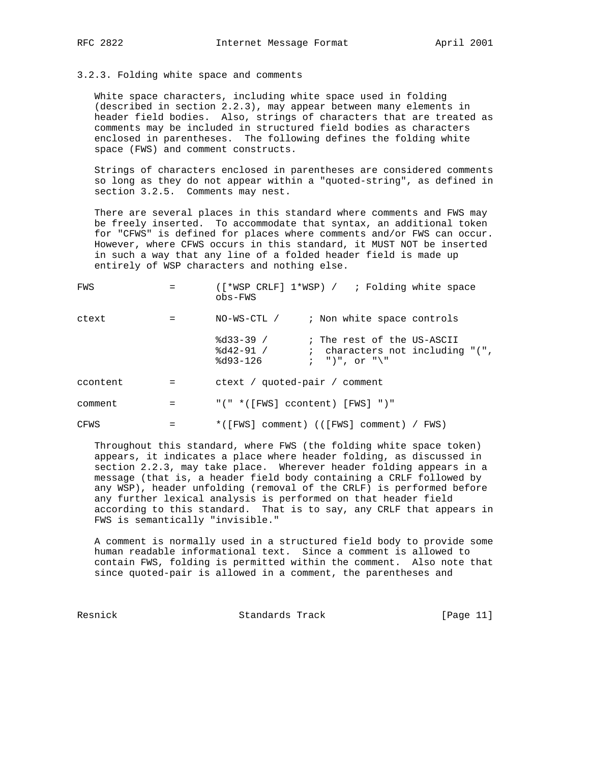### 3.2.3. Folding white space and comments

 White space characters, including white space used in folding (described in section 2.2.3), may appear between many elements in header field bodies. Also, strings of characters that are treated as comments may be included in structured field bodies as characters enclosed in parentheses. The following defines the folding white space (FWS) and comment constructs.

 Strings of characters enclosed in parentheses are considered comments so long as they do not appear within a "quoted-string", as defined in section 3.2.5. Comments may nest.

 There are several places in this standard where comments and FWS may be freely inserted. To accommodate that syntax, an additional token for "CFWS" is defined for places where comments and/or FWS can occur. However, where CFWS occurs in this standard, it MUST NOT be inserted in such a way that any line of a folded header field is made up entirely of WSP characters and nothing else.

| FWS      |         | ([*WSP CRLF] 1*WSP) / ; Folding white space<br>$obs-FWS$ |                                                                                                                     |  |
|----------|---------|----------------------------------------------------------|---------------------------------------------------------------------------------------------------------------------|--|
| ctext    |         | NO-WS-CTL / ; Non white space controls                   |                                                                                                                     |  |
|          |         | $8d33-39$ /<br>$8d42-91$ /<br>%d93-126                   | ; The rest of the US-ASCII<br>; characters not including $\sqrt{\ }$ .<br>$\mathfrak{c}$ , ")", or " $\backslash$ " |  |
| ccontent |         | ctext / quoted-pair / comment                            |                                                                                                                     |  |
| comment  | $=$ $-$ | "(" *([FWS] ccontent) [FWS] ")"                          |                                                                                                                     |  |
| CFWS     | $=$     | $*([FWS]$ comment) (( $[FWS]$ comment) / $FWS$ )         |                                                                                                                     |  |

 Throughout this standard, where FWS (the folding white space token) appears, it indicates a place where header folding, as discussed in section 2.2.3, may take place. Wherever header folding appears in a message (that is, a header field body containing a CRLF followed by any WSP), header unfolding (removal of the CRLF) is performed before any further lexical analysis is performed on that header field according to this standard. That is to say, any CRLF that appears in FWS is semantically "invisible."

 A comment is normally used in a structured field body to provide some human readable informational text. Since a comment is allowed to contain FWS, folding is permitted within the comment. Also note that since quoted-pair is allowed in a comment, the parentheses and

Resnick Standards Track [Page 11]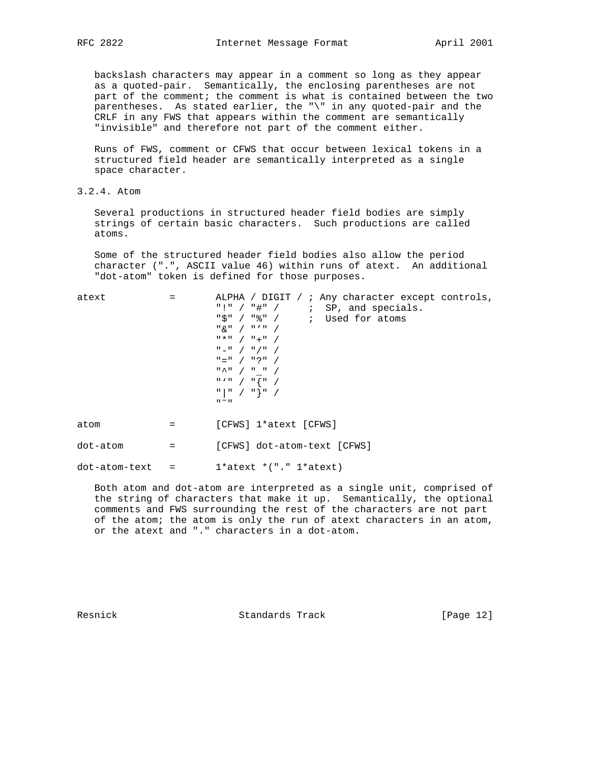backslash characters may appear in a comment so long as they appear as a quoted-pair. Semantically, the enclosing parentheses are not part of the comment; the comment is what is contained between the two parentheses. As stated earlier, the "\" in any quoted-pair and the CRLF in any FWS that appears within the comment are semantically "invisible" and therefore not part of the comment either.

 Runs of FWS, comment or CFWS that occur between lexical tokens in a structured field header are semantically interpreted as a single space character.

3.2.4. Atom

 Several productions in structured header field bodies are simply strings of certain basic characters. Such productions are called atoms.

 Some of the structured header field bodies also allow the period character (".", ASCII value 46) within runs of atext. An additional "dot-atom" token is defined for those purposes.

| atext         |     | ALPHA / DIGIT / ; Any character except controls,<br>"!" $/$ "#" $/$ ; SP, and specials.<br>$"\xi" / "\" /$ ; Used for atoms<br>$\frac{1}{2}$ $\frac{1}{2}$ $\frac{1}{2}$ $\frac{1}{2}$ $\frac{1}{2}$ $\frac{1}{2}$ $\frac{1}{2}$ $\frac{1}{2}$ $\frac{1}{2}$ $\frac{1}{2}$ $\frac{1}{2}$ $\frac{1}{2}$ $\frac{1}{2}$ $\frac{1}{2}$ $\frac{1}{2}$ $\frac{1}{2}$ $\frac{1}{2}$ $\frac{1}{2}$ $\frac{1}{2}$ $\frac{1}{2}$ $\frac{1}{2}$ $\frac{1}{2}$<br>$\frac{1}{2}$ $\frac{1}{2}$ $\frac{1}{2}$ $\frac{1}{2}$ $\frac{1}{2}$ $\frac{1}{2}$ $\frac{1}{2}$ $\frac{1}{2}$ $\frac{1}{2}$ $\frac{1}{2}$ $\frac{1}{2}$ $\frac{1}{2}$ $\frac{1}{2}$ $\frac{1}{2}$ $\frac{1}{2}$ $\frac{1}{2}$ $\frac{1}{2}$ $\frac{1}{2}$ $\frac{1}{2}$ $\frac{1}{2}$ $\frac{1}{2}$ $\frac{1}{2}$<br>$\mathbb{I} = \mathbb{I}$ / $\mathbb{I}$ / $\mathbb{I}$ / $\mathbb{I}$ /<br>$" =" / "?" /$<br>$\mathbb{R}$ $\wedge$ $\mathbb{R}$ $\rightarrow$ $\mathbb{R}$ $\rightarrow$ $\mathbb{R}$ $\rightarrow$ $\mathbb{R}$ $\rightarrow$ $\mathbb{R}$ $\rightarrow$ $\mathbb{R}$ $\rightarrow$ $\mathbb{R}$ $\rightarrow$ $\mathbb{R}$ $\rightarrow$ $\mathbb{R}$ $\rightarrow$ $\mathbb{R}$ $\rightarrow$ $\mathbb{R}$ $\rightarrow$ $\mathbb{R}$ $\rightarrow$ $\mathbb{R}$ $\rightarrow$ $\mathbb{R}$ $\rightarrow$ $\mathbb{R}$<br>$\begin{array}{c} \mathfrak{n} \times \mathfrak{n} \end{array} \begin{array}{c} \begin{array}{c} \end{array} \begin{array}{c} \end{array} \begin{array}{c} \end{array} \begin{array}{c} \end{array} \begin{array}{c} \end{array} \begin{array}{c} \end{array} \begin{array}{c} \end{array} \begin{array}{c} \end{array} \begin{array}{c} \end{array} \begin{array}{c} \end{array} \begin{array}{c} \end{array} \begin{array}{c} \end{array} \begin{array}{c} \end{array}$<br>$\begin{array}{c} \mathfrak{n} \end{array} \begin{array}{c} \mathfrak{n} \end{array} \begin{array}{c} \mathfrak{n} \end{array} \begin{array}{c} \mathfrak{n} \end{array} \begin{array}{c} \mathfrak{n} \end{array} \begin{array}{c} \mathfrak{n} \end{array}$<br>$\mathbf{u} \sim \mathbf{u}$ |
|---------------|-----|---------------------------------------------------------------------------------------------------------------------------------------------------------------------------------------------------------------------------------------------------------------------------------------------------------------------------------------------------------------------------------------------------------------------------------------------------------------------------------------------------------------------------------------------------------------------------------------------------------------------------------------------------------------------------------------------------------------------------------------------------------------------------------------------------------------------------------------------------------------------------------------------------------------------------------------------------------------------------------------------------------------------------------------------------------------------------------------------------------------------------------------------------------------------------------------------------------------------------------------------------------------------------------------------------------------------------------------------------------------------------------------------------------------------------------------------------------------------------------------------------------------------------------------------------------------------------------------------------------------------------------------------------------------------------------------------------------------------------------------------------------------------------------------------------------------------------------------------------------------------------------------------------------------------------------------------------------------------------------------------------------------------------------------------------------------------------------------|
| atom          |     | [CFWS] 1*atext [CFWS]                                                                                                                                                                                                                                                                                                                                                                                                                                                                                                                                                                                                                                                                                                                                                                                                                                                                                                                                                                                                                                                                                                                                                                                                                                                                                                                                                                                                                                                                                                                                                                                                                                                                                                                                                                                                                                                                                                                                                                                                                                                                 |
| dot-atom      | $=$ | [CFWS] dot-atom-text [CFWS]                                                                                                                                                                                                                                                                                                                                                                                                                                                                                                                                                                                                                                                                                                                                                                                                                                                                                                                                                                                                                                                                                                                                                                                                                                                                                                                                                                                                                                                                                                                                                                                                                                                                                                                                                                                                                                                                                                                                                                                                                                                           |
| dot-atom-text |     | $1*$ atext $*(". " 1*$ atext)                                                                                                                                                                                                                                                                                                                                                                                                                                                                                                                                                                                                                                                                                                                                                                                                                                                                                                                                                                                                                                                                                                                                                                                                                                                                                                                                                                                                                                                                                                                                                                                                                                                                                                                                                                                                                                                                                                                                                                                                                                                         |

 Both atom and dot-atom are interpreted as a single unit, comprised of the string of characters that make it up. Semantically, the optional comments and FWS surrounding the rest of the characters are not part of the atom; the atom is only the run of atext characters in an atom, or the atext and "." characters in a dot-atom.

Resnick Standards Track [Page 12]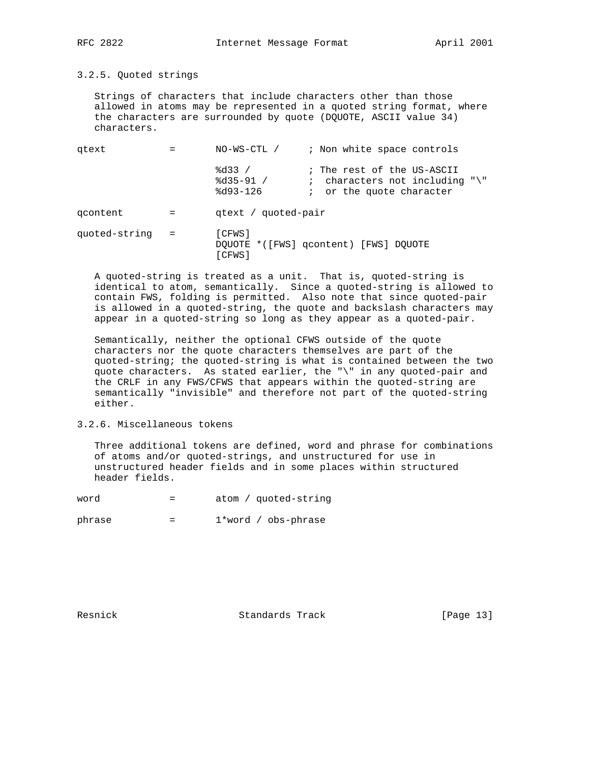3.2.5. Quoted strings

 Strings of characters that include characters other than those allowed in atoms may be represented in a quoted string format, where the characters are surrounded by quote (DQUOTE, ASCII value 34) characters.

| gtext         |     | ; Non white space controls<br>NO-WS-CTL /                                                                                            |  |
|---------------|-----|--------------------------------------------------------------------------------------------------------------------------------------|--|
|               |     | 8d33/<br>; The rest of the US-ASCII<br>$8d35-91 /$<br>: characters not including " $\$ "<br>$8d93 - 126$<br>; or the quote character |  |
| gcontent      |     | qtext / quoted-pair                                                                                                                  |  |
| quoted-string | $=$ | [CFWS]<br>DQUOTE *([FWS] qcontent) [FWS] DQUOTE<br>[CFWS]                                                                            |  |

 A quoted-string is treated as a unit. That is, quoted-string is identical to atom, semantically. Since a quoted-string is allowed to contain FWS, folding is permitted. Also note that since quoted-pair is allowed in a quoted-string, the quote and backslash characters may appear in a quoted-string so long as they appear as a quoted-pair.

 Semantically, neither the optional CFWS outside of the quote characters nor the quote characters themselves are part of the quoted-string; the quoted-string is what is contained between the two quote characters. As stated earlier, the "\" in any quoted-pair and the CRLF in any FWS/CFWS that appears within the quoted-string are semantically "invisible" and therefore not part of the quoted-string either.

3.2.6. Miscellaneous tokens

 Three additional tokens are defined, word and phrase for combinations of atoms and/or quoted-strings, and unstructured for use in unstructured header fields and in some places within structured header fields.

| word |  | atom / quoted-string |
|------|--|----------------------|
|------|--|----------------------|

phrase = 1\*word / obs-phrase

Resnick Standards Track [Page 13]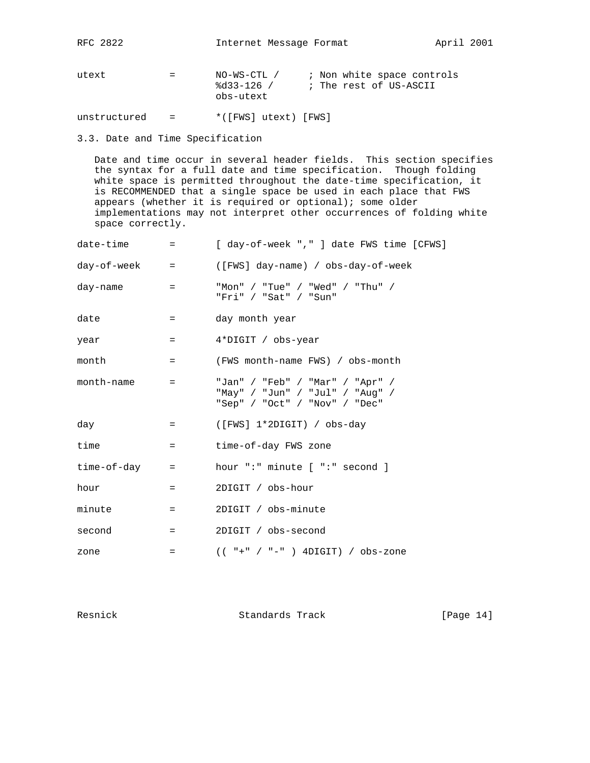utext = NO-WS-CTL / ; Non white space controls %d33-126 / ; The rest of US-ASCII obs-utext

unstructured = \*([FWS] utext) [FWS]

# 3.3. Date and Time Specification

 Date and time occur in several header fields. This section specifies the syntax for a full date and time specification. Though folding white space is permitted throughout the date-time specification, it is RECOMMENDED that a single space be used in each place that FWS appears (whether it is required or optional); some older implementations may not interpret other occurrences of folding white space correctly.

| date-time   | $=$                | [ day-of-week "," ] date FWS time [CFWS]                                                            |
|-------------|--------------------|-----------------------------------------------------------------------------------------------------|
| day-of-week | $\equiv$ 100 $\pm$ | ([FWS] day-name) / obs-day-of-week                                                                  |
| day-name    | $=$                | "Mon" / "Tue" / "Wed" / "Thu" /<br>"Fri" / "Sat" / "Sun"                                            |
| date        | $=$                | day month year                                                                                      |
| year        | $=$ $-$            | 4*DIGIT / obs-year                                                                                  |
| month       | $=$ $-$            | (FWS month-name FWS) / obs-month                                                                    |
| month-name  | $=$                | "Jan" / "Feb" / "Mar" / "Apr" /<br>"May" / "Jun" / "Jul" / "Aug" /<br>"Sep" / "Oct" / "Nov" / "Dec" |
| day         | $=$                | ([FWS] 1*2DIGIT) / obs-day                                                                          |
| time        | $=$ $-$            | time-of-day FWS zone                                                                                |
| time-of-day | $=$                | hour ":" minute [ ":" second ]                                                                      |
| hour        | $=$                | 2DIGIT / obs-hour                                                                                   |
| minute      | $=$                | 2DIGIT / obs-minute                                                                                 |
| second      | $=$                | 2DIGIT / obs-second                                                                                 |
| zone        | $=$                | $(( " + " / " - " )$ 4DIGIT) / obs-zone                                                             |

Resnick Standards Track [Page 14]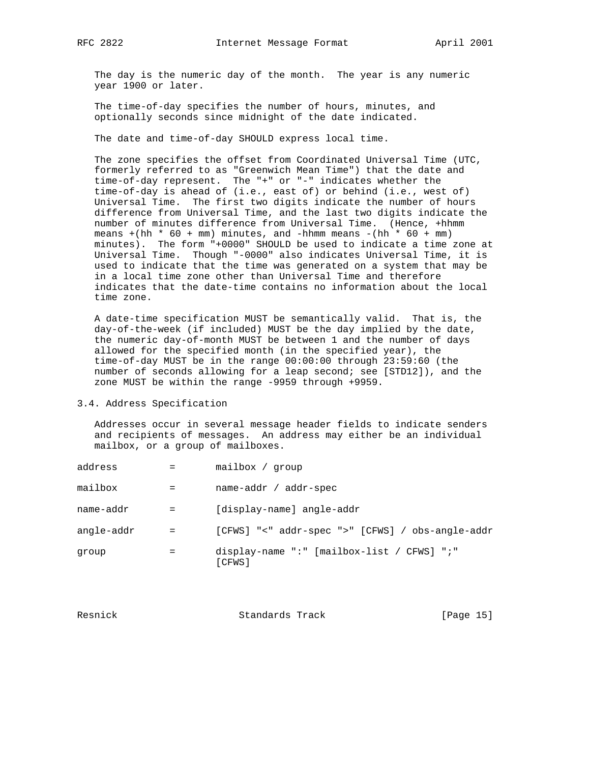The day is the numeric day of the month. The year is any numeric year 1900 or later.

 The time-of-day specifies the number of hours, minutes, and optionally seconds since midnight of the date indicated.

The date and time-of-day SHOULD express local time.

 The zone specifies the offset from Coordinated Universal Time (UTC, formerly referred to as "Greenwich Mean Time") that the date and time-of-day represent. The "+" or "-" indicates whether the time-of-day is ahead of (i.e., east of) or behind (i.e., west of) Universal Time. The first two digits indicate the number of hours difference from Universal Time, and the last two digits indicate the number of minutes difference from Universal Time. (Hence, +hhmm means +(hh \* 60 + mm) minutes, and -hhmm means -(hh \* 60 + mm) minutes). The form "+0000" SHOULD be used to indicate a time zone at Universal Time. Though "-0000" also indicates Universal Time, it is used to indicate that the time was generated on a system that may be in a local time zone other than Universal Time and therefore indicates that the date-time contains no information about the local time zone.

 A date-time specification MUST be semantically valid. That is, the day-of-the-week (if included) MUST be the day implied by the date, the numeric day-of-month MUST be between 1 and the number of days allowed for the specified month (in the specified year), the time-of-day MUST be in the range 00:00:00 through 23:59:60 (the number of seconds allowing for a leap second; see [STD12]), and the zone MUST be within the range -9959 through +9959.

#### 3.4. Address Specification

 Addresses occur in several message header fields to indicate senders and recipients of messages. An address may either be an individual mailbox, or a group of mailboxes.

| address    |     | mailbox / group                                      |
|------------|-----|------------------------------------------------------|
| mailbox    |     | name-addr / addr-spec                                |
| name-addr  | $=$ | [display-name] angle-addr                            |
| angle-addr | $=$ | [CFWS] "<" addr-spec ">" [CFWS] / obs-angle-addr     |
| group      | =   | display-name ":" [mailbox-list / CFWS] ";"<br>[CFWS] |

| Resnick | Standards Track | [Page 15] |  |
|---------|-----------------|-----------|--|
|         |                 |           |  |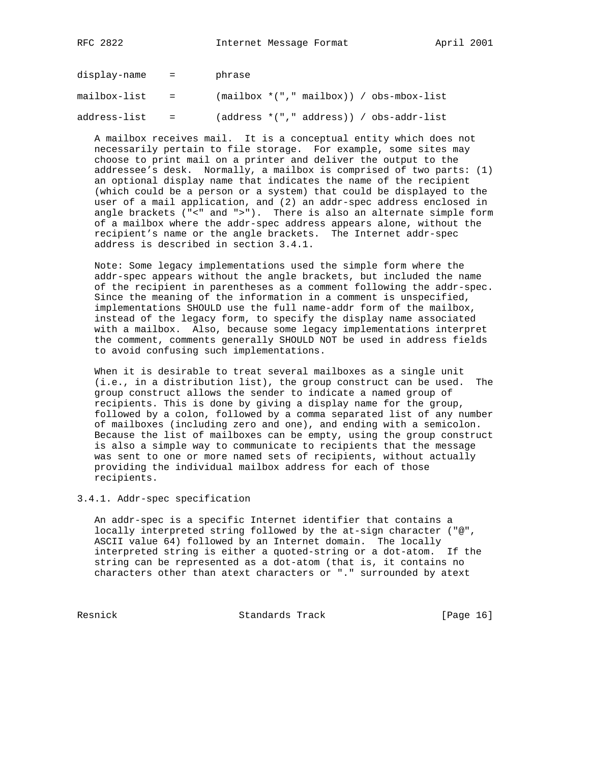display-name = phrase

mailbox-list =  $(mailbox * ("," mainbox)) / obs-mbox-list$ 

address-list = (address \*("," address)) / obs-addr-list

 A mailbox receives mail. It is a conceptual entity which does not necessarily pertain to file storage. For example, some sites may choose to print mail on a printer and deliver the output to the addressee's desk. Normally, a mailbox is comprised of two parts: (1) an optional display name that indicates the name of the recipient (which could be a person or a system) that could be displayed to the user of a mail application, and (2) an addr-spec address enclosed in angle brackets ("<" and ">"). There is also an alternate simple form of a mailbox where the addr-spec address appears alone, without the recipient's name or the angle brackets. The Internet addr-spec address is described in section 3.4.1.

 Note: Some legacy implementations used the simple form where the addr-spec appears without the angle brackets, but included the name of the recipient in parentheses as a comment following the addr-spec. Since the meaning of the information in a comment is unspecified, implementations SHOULD use the full name-addr form of the mailbox, instead of the legacy form, to specify the display name associated with a mailbox. Also, because some legacy implementations interpret the comment, comments generally SHOULD NOT be used in address fields to avoid confusing such implementations.

 When it is desirable to treat several mailboxes as a single unit (i.e., in a distribution list), the group construct can be used. The group construct allows the sender to indicate a named group of recipients. This is done by giving a display name for the group, followed by a colon, followed by a comma separated list of any number of mailboxes (including zero and one), and ending with a semicolon. Because the list of mailboxes can be empty, using the group construct is also a simple way to communicate to recipients that the message was sent to one or more named sets of recipients, without actually providing the individual mailbox address for each of those recipients.

3.4.1. Addr-spec specification

 An addr-spec is a specific Internet identifier that contains a locally interpreted string followed by the at-sign character ("@", ASCII value 64) followed by an Internet domain. The locally interpreted string is either a quoted-string or a dot-atom. If the string can be represented as a dot-atom (that is, it contains no characters other than atext characters or "." surrounded by atext

Resnick Standards Track [Page 16]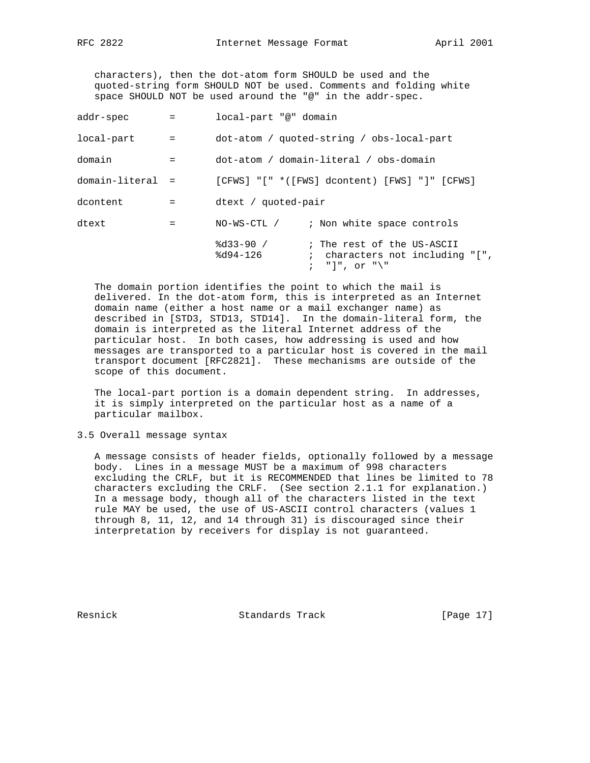characters), then the dot-atom form SHOULD be used and the quoted-string form SHOULD NOT be used. Comments and folding white space SHOULD NOT be used around the "@" in the addr-spec.

| addr-spec        | $\mathbf{r} = \mathbf{r}$ | local-part "@" domain                                                                                          |
|------------------|---------------------------|----------------------------------------------------------------------------------------------------------------|
| local-part       | $\mathbf{r} = \mathbf{r}$ | dot-atom / quoted-string / obs-local-part                                                                      |
| domain           | $=$ $-$                   | dot-atom / domain-literal / obs-domain                                                                         |
| domain-literal = |                           | $[CFWS]$ "[" *([FWS] dcontent) [FWS] "]" [CFWS]                                                                |
| dcontent         | $=$                       | dtext / quoted-pair                                                                                            |
| dtext            | $\equiv$ $\equiv$         | NO-WS-CTL / ; Non white space controls                                                                         |
|                  |                           | $8d33-90 /$<br>; The rest of the US-ASCII<br>$8d94-126$<br>; characters not including $"['$ ,<br>; "]", or "\" |

 The domain portion identifies the point to which the mail is delivered. In the dot-atom form, this is interpreted as an Internet domain name (either a host name or a mail exchanger name) as described in [STD3, STD13, STD14]. In the domain-literal form, the domain is interpreted as the literal Internet address of the particular host. In both cases, how addressing is used and how messages are transported to a particular host is covered in the mail transport document [RFC2821]. These mechanisms are outside of the scope of this document.

 The local-part portion is a domain dependent string. In addresses, it is simply interpreted on the particular host as a name of a particular mailbox.

3.5 Overall message syntax

 A message consists of header fields, optionally followed by a message body. Lines in a message MUST be a maximum of 998 characters excluding the CRLF, but it is RECOMMENDED that lines be limited to 78 characters excluding the CRLF. (See section 2.1.1 for explanation.) In a message body, though all of the characters listed in the text rule MAY be used, the use of US-ASCII control characters (values 1 through 8, 11, 12, and 14 through 31) is discouraged since their interpretation by receivers for display is not guaranteed.

Resnick **Standards Track** [Page 17]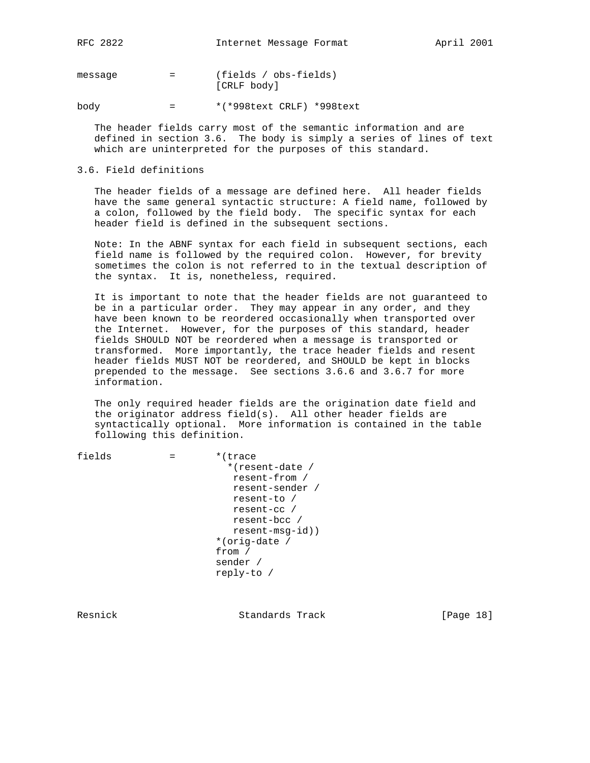message = (fields / obs-fields) [CRLF body]

body = \*(\*998text CRLF) \*998text

 The header fields carry most of the semantic information and are defined in section 3.6. The body is simply a series of lines of text which are uninterpreted for the purposes of this standard.

#### 3.6. Field definitions

 The header fields of a message are defined here. All header fields have the same general syntactic structure: A field name, followed by a colon, followed by the field body. The specific syntax for each header field is defined in the subsequent sections.

 Note: In the ABNF syntax for each field in subsequent sections, each field name is followed by the required colon. However, for brevity sometimes the colon is not referred to in the textual description of the syntax. It is, nonetheless, required.

 It is important to note that the header fields are not guaranteed to be in a particular order. They may appear in any order, and they have been known to be reordered occasionally when transported over the Internet. However, for the purposes of this standard, header fields SHOULD NOT be reordered when a message is transported or transformed. More importantly, the trace header fields and resent header fields MUST NOT be reordered, and SHOULD be kept in blocks prepended to the message. See sections 3.6.6 and 3.6.7 for more information.

 The only required header fields are the origination date field and the originator address field(s). All other header fields are syntactically optional. More information is contained in the table following this definition.

 $fields$  =  $*(trace$  \*(resent-date / resent-from / resent-sender / resent-to / resent-cc / resent-bcc / resent-msg-id)) \*(orig-date / from / sender / reply-to /

Resnick **Standards Track** [Page 18]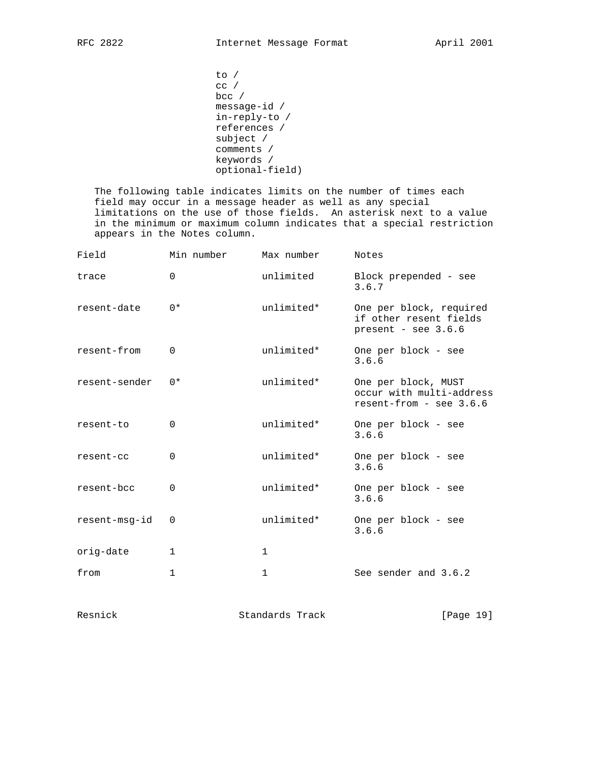```
 to /
 cc /
bcc /
 message-id /
 in-reply-to /
 references /
 subject /
 comments /
 keywords /
 optional-field)
```
 The following table indicates limits on the number of times each field may occur in a message header as well as any special limitations on the use of those fields. An asterisk next to a value in the minimum or maximum column indicates that a special restriction appears in the Notes column.

| Field         | Min number   | Max number   | Notes                                                                        |
|---------------|--------------|--------------|------------------------------------------------------------------------------|
| trace         | $\Omega$     | unlimited    | Block prepended - see<br>3.6.7                                               |
| resent-date   | $0*$         | unlimited*   | One per block, required<br>if other resent fields<br>present - see $3.6.6$   |
| resent-from   | $\Omega$     | unlimited*   | One per block - see<br>3.6.6                                                 |
| resent-sender | $0*$         | unlimited*   | One per block, MUST<br>occur with multi-address<br>$resent-from - see 3.6.6$ |
| resent-to     | $\Omega$     | unlimited*   | One per block - see<br>3.6.6                                                 |
| resent-cc     | $\Omega$     | unlimited*   | One per block - see<br>3.6.6                                                 |
| resent-bcc    | 0            | unlimited*   | One per block - see<br>3.6.6                                                 |
| resent-msq-id | $\Omega$     | unlimited*   | One per block - see<br>3.6.6                                                 |
| orig-date     | 1            | $\mathbf{1}$ |                                                                              |
| from          | $\mathbf{1}$ | $\mathbf{1}$ | See sender and 3.6.2                                                         |

Resnick Standards Track [Page 19]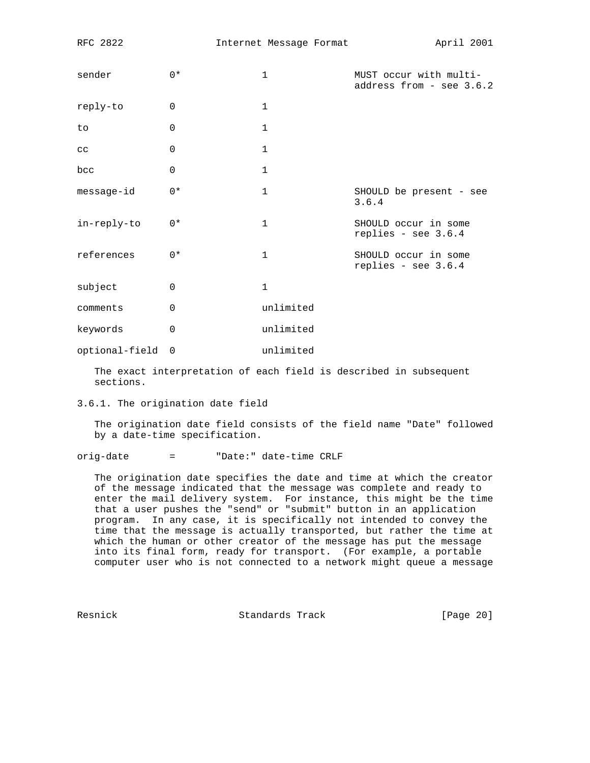| sender         | $0*$        | $\mathbf{1}$ | MUST occur with multi-<br>address from - see 3.6.2 |
|----------------|-------------|--------------|----------------------------------------------------|
| reply-to       | 0           | $\mathbf{1}$ |                                                    |
| to             | $\mathbf 0$ | $\mathbf{1}$ |                                                    |
| cc             | 0           | $\mathbf{1}$ |                                                    |
| bcc            | $\mathbf 0$ | $\mathbf 1$  |                                                    |
| message-id     | $0*$        | $\mathbf 1$  | SHOULD be present - see<br>3.6.4                   |
| in-reply-to    | $0*$        | $\mathbf{1}$ | SHOULD occur in some<br>replies - see $3.6.4$      |
| references     | $0*$        | $\mathbf{1}$ | SHOULD occur in some<br>replies - see $3.6.4$      |
| subject        | 0           | $\mathbf{1}$ |                                                    |
| comments       | $\Omega$    | unlimited    |                                                    |
| keywords       | $\mathbf 0$ | unlimited    |                                                    |
| optional-field | 0           | unlimited    |                                                    |

 The exact interpretation of each field is described in subsequent sections.

3.6.1. The origination date field

 The origination date field consists of the field name "Date" followed by a date-time specification.

orig-date = "Date:" date-time CRLF

 The origination date specifies the date and time at which the creator of the message indicated that the message was complete and ready to enter the mail delivery system. For instance, this might be the time that a user pushes the "send" or "submit" button in an application program. In any case, it is specifically not intended to convey the time that the message is actually transported, but rather the time at which the human or other creator of the message has put the message into its final form, ready for transport. (For example, a portable computer user who is not connected to a network might queue a message

Resnick Standards Track [Page 20]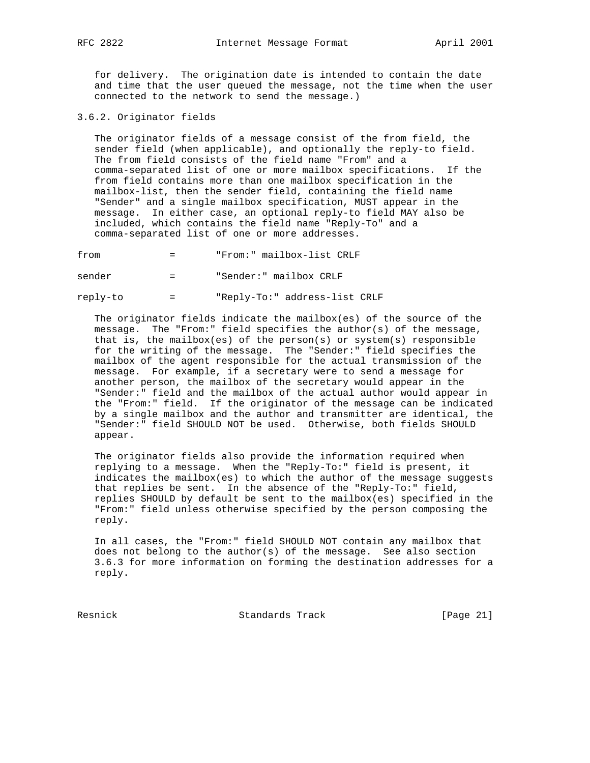for delivery. The origination date is intended to contain the date and time that the user queued the message, not the time when the user connected to the network to send the message.)

3.6.2. Originator fields

 The originator fields of a message consist of the from field, the sender field (when applicable), and optionally the reply-to field. The from field consists of the field name "From" and a comma-separated list of one or more mailbox specifications. If the from field contains more than one mailbox specification in the mailbox-list, then the sender field, containing the field name "Sender" and a single mailbox specification, MUST appear in the message. In either case, an optional reply-to field MAY also be included, which contains the field name "Reply-To" and a comma-separated list of one or more addresses.

from = "From:" mailbox-list CRLF

sender = "Sender:" mailbox CRLF

reply-to = "Reply-To:" address-list CRLF

 The originator fields indicate the mailbox(es) of the source of the message. The "From:" field specifies the author(s) of the message, that is, the mailbox(es) of the person(s) or system(s) responsible for the writing of the message. The "Sender:" field specifies the mailbox of the agent responsible for the actual transmission of the message. For example, if a secretary were to send a message for another person, the mailbox of the secretary would appear in the "Sender:" field and the mailbox of the actual author would appear in the "From:" field. If the originator of the message can be indicated by a single mailbox and the author and transmitter are identical, the "Sender:" field SHOULD NOT be used. Otherwise, both fields SHOULD appear.

 The originator fields also provide the information required when replying to a message. When the "Reply-To:" field is present, it indicates the mailbox(es) to which the author of the message suggests that replies be sent. In the absence of the "Reply-To:" field, replies SHOULD by default be sent to the mailbox(es) specified in the "From:" field unless otherwise specified by the person composing the reply.

 In all cases, the "From:" field SHOULD NOT contain any mailbox that does not belong to the author(s) of the message. See also section 3.6.3 for more information on forming the destination addresses for a reply.

Resnick Standards Track [Page 21]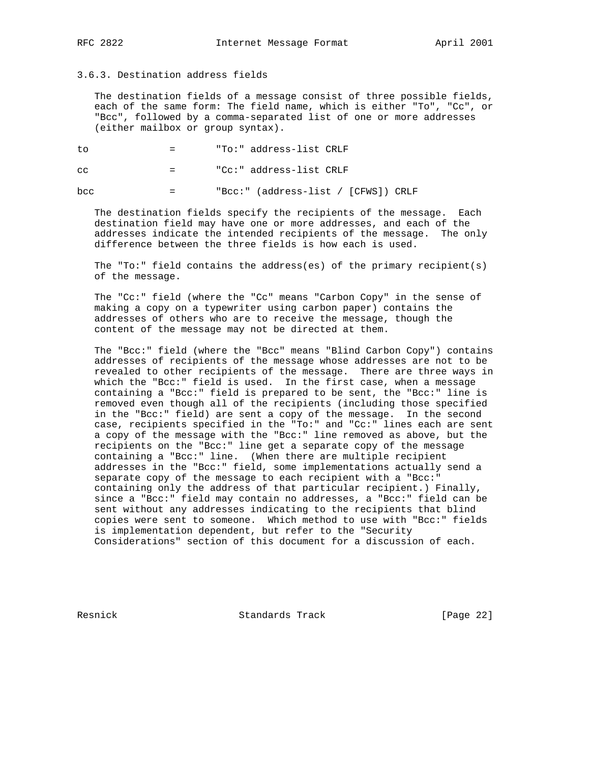# 3.6.3. Destination address fields

 The destination fields of a message consist of three possible fields, each of the same form: The field name, which is either "To", "Cc", or "Bcc", followed by a comma-separated list of one or more addresses (either mailbox or group syntax).

to = "To:" address-list CRLF

cc = "Cc:" address-list CRLF

bcc = "Bcc:" (address-list / [CFWS]) CRLF

 The destination fields specify the recipients of the message. Each destination field may have one or more addresses, and each of the addresses indicate the intended recipients of the message. The only difference between the three fields is how each is used.

 The "To:" field contains the address(es) of the primary recipient(s) of the message.

 The "Cc:" field (where the "Cc" means "Carbon Copy" in the sense of making a copy on a typewriter using carbon paper) contains the addresses of others who are to receive the message, though the content of the message may not be directed at them.

 The "Bcc:" field (where the "Bcc" means "Blind Carbon Copy") contains addresses of recipients of the message whose addresses are not to be revealed to other recipients of the message. There are three ways in which the "Bcc:" field is used. In the first case, when a message containing a "Bcc:" field is prepared to be sent, the "Bcc:" line is removed even though all of the recipients (including those specified in the "Bcc:" field) are sent a copy of the message. In the second case, recipients specified in the "To:" and "Cc:" lines each are sent a copy of the message with the "Bcc:" line removed as above, but the recipients on the "Bcc:" line get a separate copy of the message containing a "Bcc:" line. (When there are multiple recipient addresses in the "Bcc:" field, some implementations actually send a separate copy of the message to each recipient with a "Bcc:" containing only the address of that particular recipient.) Finally, since a "Bcc:" field may contain no addresses, a "Bcc:" field can be sent without any addresses indicating to the recipients that blind copies were sent to someone. Which method to use with "Bcc:" fields is implementation dependent, but refer to the "Security Considerations" section of this document for a discussion of each.

Resnick Standards Track [Page 22]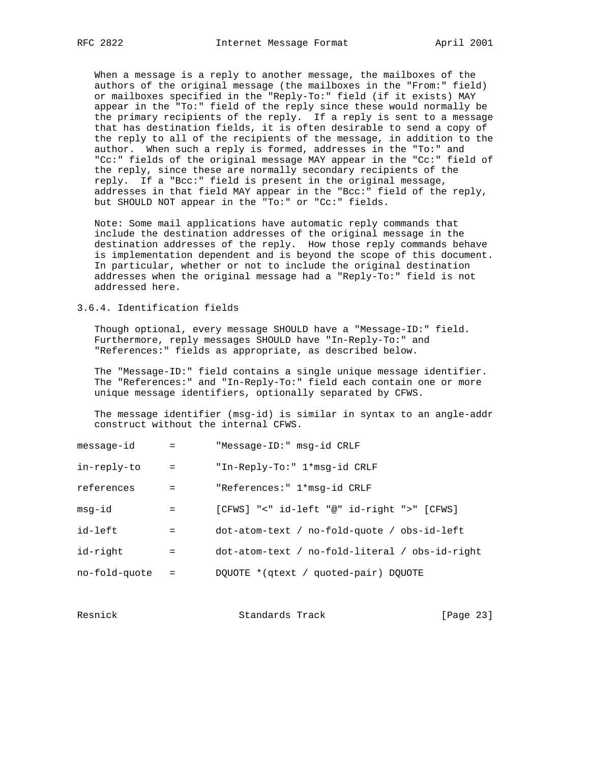When a message is a reply to another message, the mailboxes of the authors of the original message (the mailboxes in the "From:" field) or mailboxes specified in the "Reply-To:" field (if it exists) MAY appear in the "To:" field of the reply since these would normally be the primary recipients of the reply. If a reply is sent to a message that has destination fields, it is often desirable to send a copy of the reply to all of the recipients of the message, in addition to the author. When such a reply is formed, addresses in the "To:" and "Cc:" fields of the original message MAY appear in the "Cc:" field of the reply, since these are normally secondary recipients of the reply. If a "Bcc:" field is present in the original message, addresses in that field MAY appear in the "Bcc:" field of the reply, but SHOULD NOT appear in the "To:" or "Cc:" fields.

 Note: Some mail applications have automatic reply commands that include the destination addresses of the original message in the destination addresses of the reply. How those reply commands behave is implementation dependent and is beyond the scope of this document. In particular, whether or not to include the original destination addresses when the original message had a "Reply-To:" field is not addressed here.

3.6.4. Identification fields

 Though optional, every message SHOULD have a "Message-ID:" field. Furthermore, reply messages SHOULD have "In-Reply-To:" and "References:" fields as appropriate, as described below.

 The "Message-ID:" field contains a single unique message identifier. The "References:" and "In-Reply-To:" field each contain one or more unique message identifiers, optionally separated by CFWS.

 The message identifier (msg-id) is similar in syntax to an angle-addr construct without the internal CFWS.

| message-id    | $\mathbf{r} = \mathbf{r}$ | "Message-ID:" msg-id CRLF                         |
|---------------|---------------------------|---------------------------------------------------|
| in-reply-to   | $\alpha_{\rm c} = 0.01$   | "In-Reply-To:" 1*msq-id CRLF                      |
| references    | $=$ $-$                   | "References: " 1*msg-id CRLF                      |
| msg-id        | $=$ $-$                   | [CFWS] "<" id-left "@" id-right ">" [CFWS]        |
| id-left       | $=$                       | $dot$ -atom-text / no-fold-quote / obs-id-left    |
| id-right      | $=$                       | $dot$ -atom-text / no-fold-literal / obs-id-right |
| no-fold-quote | $=$                       | DOUOTE * (qtext / quoted-pair) DOUOTE             |

| Resnick | Standards Track | [Page 23] |  |
|---------|-----------------|-----------|--|
|         |                 |           |  |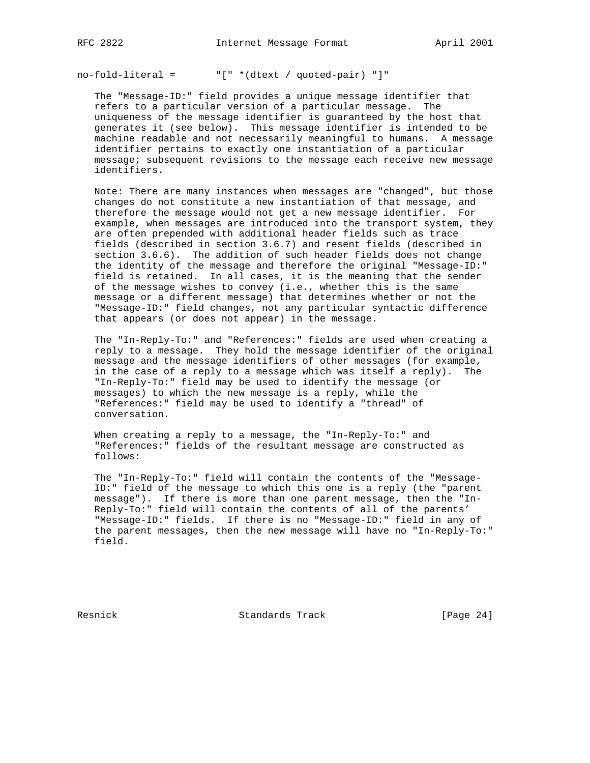no-fold-literal = "[" \*(dtext / quoted-pair) "]"

 The "Message-ID:" field provides a unique message identifier that refers to a particular version of a particular message. The uniqueness of the message identifier is guaranteed by the host that generates it (see below). This message identifier is intended to be machine readable and not necessarily meaningful to humans. A message identifier pertains to exactly one instantiation of a particular message; subsequent revisions to the message each receive new message identifiers.

 Note: There are many instances when messages are "changed", but those changes do not constitute a new instantiation of that message, and therefore the message would not get a new message identifier. For example, when messages are introduced into the transport system, they are often prepended with additional header fields such as trace fields (described in section 3.6.7) and resent fields (described in section 3.6.6). The addition of such header fields does not change the identity of the message and therefore the original "Message-ID:" field is retained. In all cases, it is the meaning that the sender of the message wishes to convey (i.e., whether this is the same message or a different message) that determines whether or not the "Message-ID:" field changes, not any particular syntactic difference that appears (or does not appear) in the message.

 The "In-Reply-To:" and "References:" fields are used when creating a reply to a message. They hold the message identifier of the original message and the message identifiers of other messages (for example, in the case of a reply to a message which was itself a reply). The "In-Reply-To:" field may be used to identify the message (or messages) to which the new message is a reply, while the "References:" field may be used to identify a "thread" of conversation.

 When creating a reply to a message, the "In-Reply-To:" and "References:" fields of the resultant message are constructed as follows:

 The "In-Reply-To:" field will contain the contents of the "Message- ID:" field of the message to which this one is a reply (the "parent message"). If there is more than one parent message, then the "In- Reply-To:" field will contain the contents of all of the parents' "Message-ID:" fields. If there is no "Message-ID:" field in any of the parent messages, then the new message will have no "In-Reply-To:" field.

Resnick Standards Track [Page 24]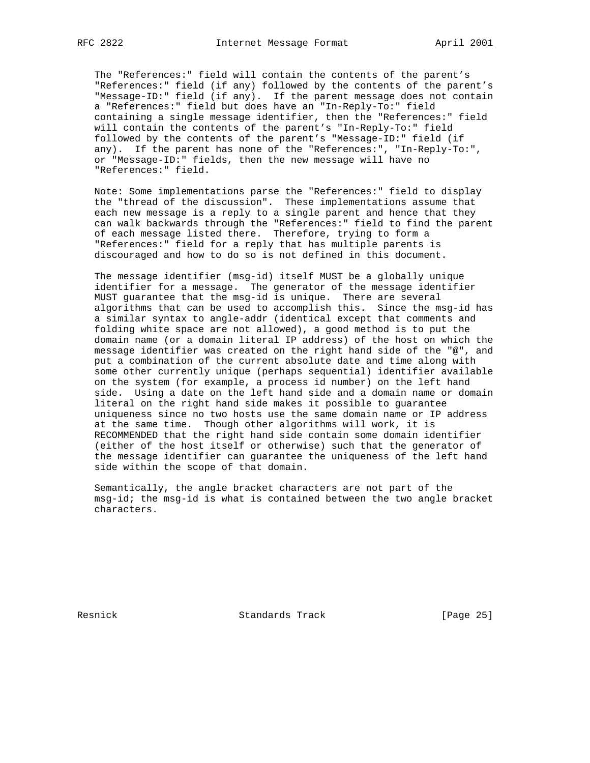The "References:" field will contain the contents of the parent's "References:" field (if any) followed by the contents of the parent's "Message-ID:" field (if any). If the parent message does not contain a "References:" field but does have an "In-Reply-To:" field containing a single message identifier, then the "References:" field will contain the contents of the parent's "In-Reply-To:" field followed by the contents of the parent's "Message-ID:" field (if any). If the parent has none of the "References:", "In-Reply-To:", or "Message-ID:" fields, then the new message will have no "References:" field.

 Note: Some implementations parse the "References:" field to display the "thread of the discussion". These implementations assume that each new message is a reply to a single parent and hence that they can walk backwards through the "References:" field to find the parent of each message listed there. Therefore, trying to form a "References:" field for a reply that has multiple parents is discouraged and how to do so is not defined in this document.

 The message identifier (msg-id) itself MUST be a globally unique identifier for a message. The generator of the message identifier MUST guarantee that the msg-id is unique. There are several algorithms that can be used to accomplish this. Since the msg-id has a similar syntax to angle-addr (identical except that comments and folding white space are not allowed), a good method is to put the domain name (or a domain literal IP address) of the host on which the message identifier was created on the right hand side of the "@", and put a combination of the current absolute date and time along with some other currently unique (perhaps sequential) identifier available on the system (for example, a process id number) on the left hand side. Using a date on the left hand side and a domain name or domain literal on the right hand side makes it possible to guarantee uniqueness since no two hosts use the same domain name or IP address at the same time. Though other algorithms will work, it is RECOMMENDED that the right hand side contain some domain identifier (either of the host itself or otherwise) such that the generator of the message identifier can guarantee the uniqueness of the left hand side within the scope of that domain.

 Semantically, the angle bracket characters are not part of the msg-id; the msg-id is what is contained between the two angle bracket characters.

Resnick Standards Track [Page 25]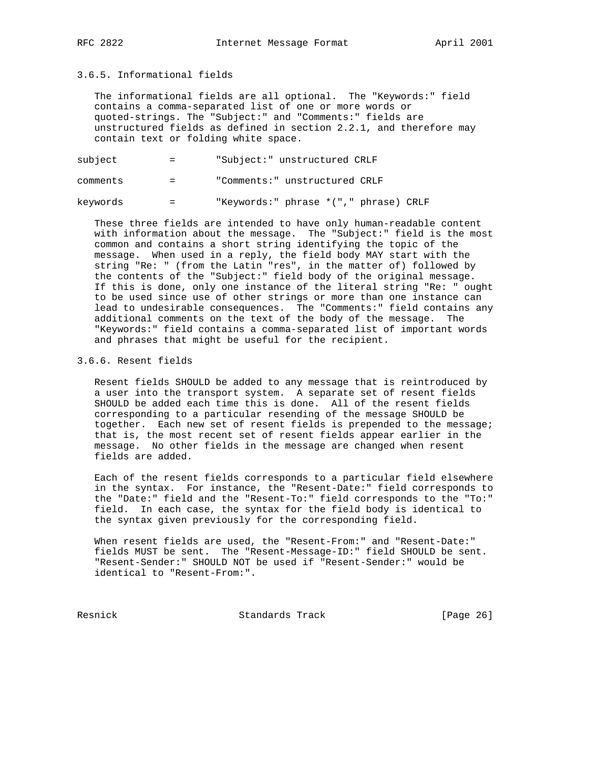# 3.6.5. Informational fields

 The informational fields are all optional. The "Keywords:" field contains a comma-separated list of one or more words or quoted-strings. The "Subject:" and "Comments:" fields are unstructured fields as defined in section 2.2.1, and therefore may contain text or folding white space.

subject = "Subject:" unstructured CRLF

comments = "Comments:" unstructured CRLF

keywords = "Keywords:" phrase \*("," phrase) CRLF

 These three fields are intended to have only human-readable content with information about the message. The "Subject:" field is the most common and contains a short string identifying the topic of the message. When used in a reply, the field body MAY start with the string "Re: " (from the Latin "res", in the matter of) followed by the contents of the "Subject:" field body of the original message. If this is done, only one instance of the literal string "Re: " ought to be used since use of other strings or more than one instance can lead to undesirable consequences. The "Comments:" field contains any additional comments on the text of the body of the message. The "Keywords:" field contains a comma-separated list of important words and phrases that might be useful for the recipient.

#### 3.6.6. Resent fields

 Resent fields SHOULD be added to any message that is reintroduced by a user into the transport system. A separate set of resent fields SHOULD be added each time this is done. All of the resent fields corresponding to a particular resending of the message SHOULD be together. Each new set of resent fields is prepended to the message; that is, the most recent set of resent fields appear earlier in the message. No other fields in the message are changed when resent fields are added.

 Each of the resent fields corresponds to a particular field elsewhere in the syntax. For instance, the "Resent-Date:" field corresponds to the "Date:" field and the "Resent-To:" field corresponds to the "To:" field. In each case, the syntax for the field body is identical to the syntax given previously for the corresponding field.

 When resent fields are used, the "Resent-From:" and "Resent-Date:" fields MUST be sent. The "Resent-Message-ID:" field SHOULD be sent. "Resent-Sender:" SHOULD NOT be used if "Resent-Sender:" would be identical to "Resent-From:".

Resnick Standards Track [Page 26]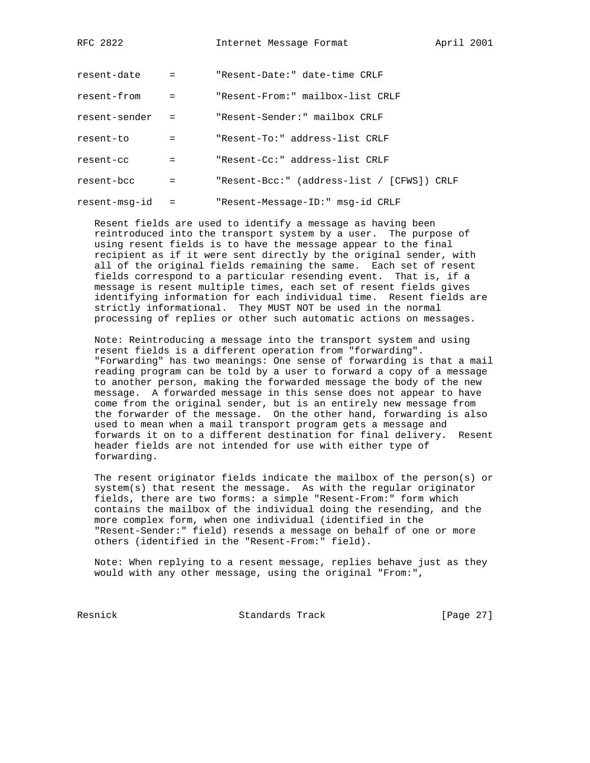| resent-date   | $\mathbf{r} = \mathbf{r}$ | "Resent-Date:" date-time CRLF              |
|---------------|---------------------------|--------------------------------------------|
| resent-from   | $\mathbf{r} = \mathbf{r}$ | "Resent-From:" mailbox-list CRLF           |
| resent-sender | $\mathbf{r} = \mathbf{r}$ | "Resent-Sender:" mailbox CRLF              |
| resent-to     | $=$                       | "Resent-To:" address-list CRLF             |
| resent-cc     | $=$                       | "Resent-Cc:" address-list CRLF             |
| resent-bcc    | $=$                       | "Resent-Bcc:" (address-list / [CFWS]) CRLF |
| resent-msq-id | $=$                       | "Resent-Message-ID:" msg-id CRLF           |

 Resent fields are used to identify a message as having been reintroduced into the transport system by a user. The purpose of using resent fields is to have the message appear to the final recipient as if it were sent directly by the original sender, with all of the original fields remaining the same. Each set of resent fields correspond to a particular resending event. That is, if a message is resent multiple times, each set of resent fields gives identifying information for each individual time. Resent fields are strictly informational. They MUST NOT be used in the normal processing of replies or other such automatic actions on messages.

 Note: Reintroducing a message into the transport system and using resent fields is a different operation from "forwarding". "Forwarding" has two meanings: One sense of forwarding is that a mail reading program can be told by a user to forward a copy of a message to another person, making the forwarded message the body of the new message. A forwarded message in this sense does not appear to have come from the original sender, but is an entirely new message from the forwarder of the message. On the other hand, forwarding is also used to mean when a mail transport program gets a message and forwards it on to a different destination for final delivery. Resent header fields are not intended for use with either type of forwarding.

 The resent originator fields indicate the mailbox of the person(s) or system(s) that resent the message. As with the regular originator fields, there are two forms: a simple "Resent-From:" form which contains the mailbox of the individual doing the resending, and the more complex form, when one individual (identified in the "Resent-Sender:" field) resends a message on behalf of one or more others (identified in the "Resent-From:" field).

 Note: When replying to a resent message, replies behave just as they would with any other message, using the original "From:",

Resnick Standards Track [Page 27]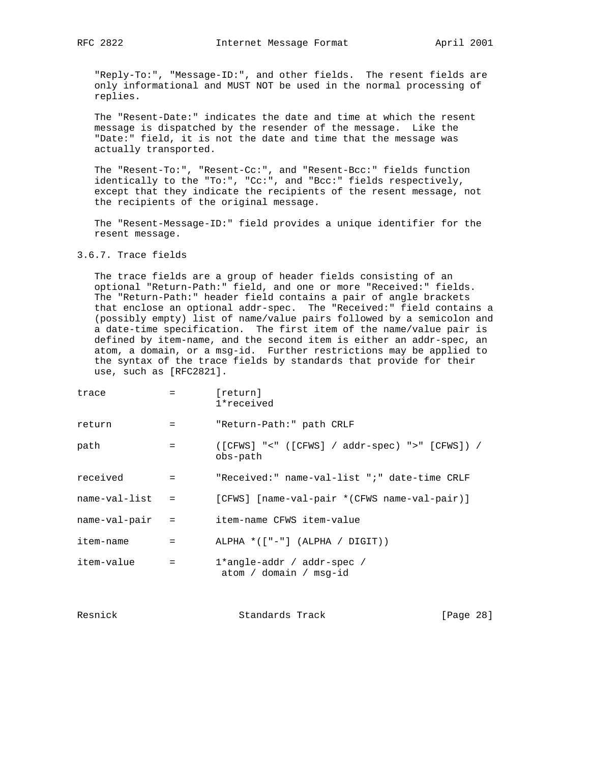"Reply-To:", "Message-ID:", and other fields. The resent fields are only informational and MUST NOT be used in the normal processing of replies.

 The "Resent-Date:" indicates the date and time at which the resent message is dispatched by the resender of the message. Like the "Date:" field, it is not the date and time that the message was actually transported.

 The "Resent-To:", "Resent-Cc:", and "Resent-Bcc:" fields function identically to the "To:", "Cc:", and "Bcc:" fields respectively, except that they indicate the recipients of the resent message, not the recipients of the original message.

 The "Resent-Message-ID:" field provides a unique identifier for the resent message.

3.6.7. Trace fields

 The trace fields are a group of header fields consisting of an optional "Return-Path:" field, and one or more "Received:" fields. The "Return-Path:" header field contains a pair of angle brackets that enclose an optional addr-spec. The "Received:" field contains a (possibly empty) list of name/value pairs followed by a semicolon and a date-time specification. The first item of the name/value pair is defined by item-name, and the second item is either an addr-spec, an atom, a domain, or a msg-id. Further restrictions may be applied to the syntax of the trace fields by standards that provide for their use, such as [RFC2821].

| trace              | $=$ $-$                                 | [return]<br>1*received                                       |
|--------------------|-----------------------------------------|--------------------------------------------------------------|
| return             | $=$ $-$                                 | "Return-Path:" path CRLF                                     |
| path               | $\mathbf{r} = \mathbf{r}$               | $([CFWS] "<" ([CFWS] / addr-spec) ">" [CFWS]) /$<br>obs-path |
| received           | $\mathbf{r} = \mathbf{r}$               | "Received:" name-val-list ";" date-time CRLF                 |
| $name-val$ -list = |                                         | [CFWS] [name-val-pair *(CFWS name-val-pair)]                 |
| name-val-pair      | $\mathcal{L} = \mathcal{L} \mathcal{L}$ | item-name CFWS item-value                                    |
| item-name          | $\mathbf{r} = \mathbf{r}$               | ALPHA $*([" -"] (ALPHA / DIGIT))$                            |
| item-value         | $=$                                     | 1*angle-addr / addr-spec /<br>atom / domain / msq-id         |

| Resnick | Standards Track | [Page 28] |  |
|---------|-----------------|-----------|--|
|         |                 |           |  |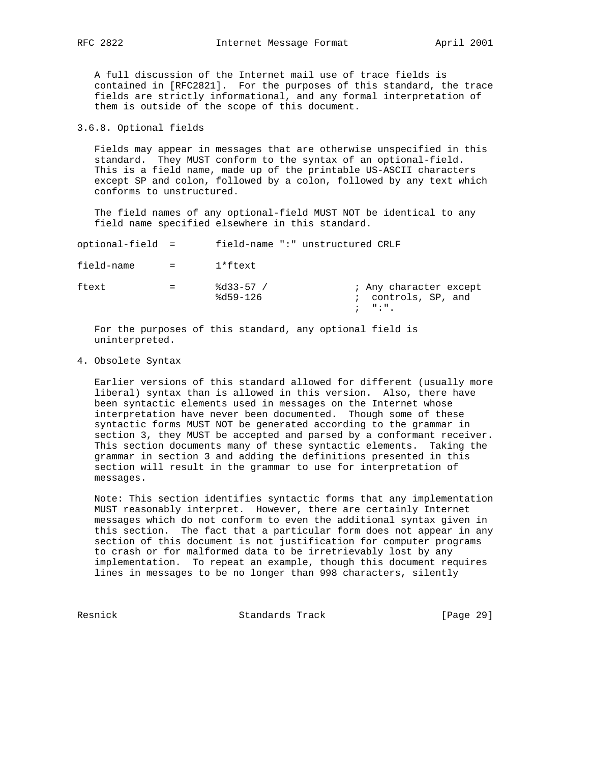A full discussion of the Internet mail use of trace fields is contained in [RFC2821]. For the purposes of this standard, the trace fields are strictly informational, and any formal interpretation of them is outside of the scope of this document.

3.6.8. Optional fields

 Fields may appear in messages that are otherwise unspecified in this standard. They MUST conform to the syntax of an optional-field. This is a field name, made up of the printable US-ASCII characters except SP and colon, followed by a colon, followed by any text which conforms to unstructured.

 The field names of any optional-field MUST NOT be identical to any field name specified elsewhere in this standard.

| optional-field = |         | field-name ":" unstructured CRLF |                                                                              |
|------------------|---------|----------------------------------|------------------------------------------------------------------------------|
| field-name       | $=$ $-$ | l*ftext                          |                                                                              |
| ftext            | $=$     | $8d33-57$ /<br>$8d59 - 126$      | ; Any character except<br>; controls, SP, and<br>$\mathcal{V} = \mathcal{V}$ |

 For the purposes of this standard, any optional field is uninterpreted.

## 4. Obsolete Syntax

 Earlier versions of this standard allowed for different (usually more liberal) syntax than is allowed in this version. Also, there have been syntactic elements used in messages on the Internet whose interpretation have never been documented. Though some of these syntactic forms MUST NOT be generated according to the grammar in section 3, they MUST be accepted and parsed by a conformant receiver. This section documents many of these syntactic elements. Taking the grammar in section 3 and adding the definitions presented in this section will result in the grammar to use for interpretation of messages.

 Note: This section identifies syntactic forms that any implementation MUST reasonably interpret. However, there are certainly Internet messages which do not conform to even the additional syntax given in this section. The fact that a particular form does not appear in any section of this document is not justification for computer programs to crash or for malformed data to be irretrievably lost by any implementation. To repeat an example, though this document requires lines in messages to be no longer than 998 characters, silently

Resnick Standards Track [Page 29]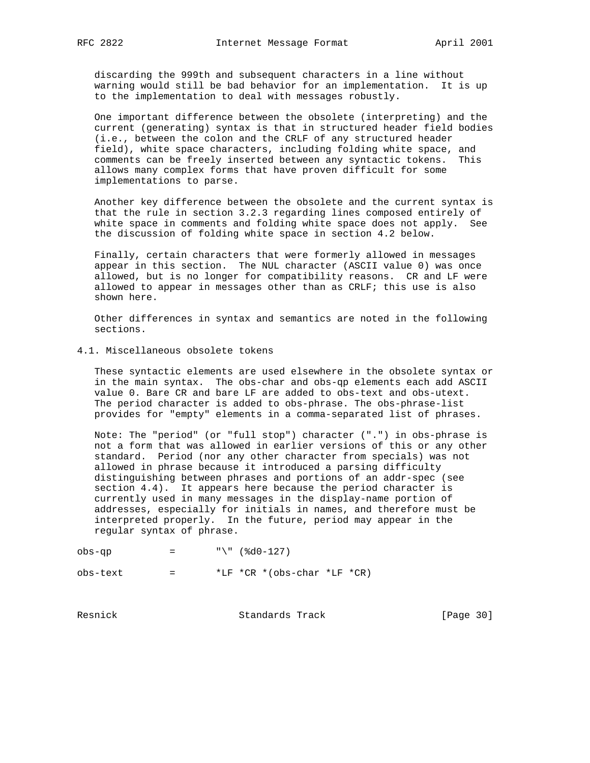discarding the 999th and subsequent characters in a line without warning would still be bad behavior for an implementation. It is up to the implementation to deal with messages robustly.

 One important difference between the obsolete (interpreting) and the current (generating) syntax is that in structured header field bodies (i.e., between the colon and the CRLF of any structured header field), white space characters, including folding white space, and comments can be freely inserted between any syntactic tokens. This allows many complex forms that have proven difficult for some implementations to parse.

 Another key difference between the obsolete and the current syntax is that the rule in section 3.2.3 regarding lines composed entirely of white space in comments and folding white space does not apply. See the discussion of folding white space in section 4.2 below.

 Finally, certain characters that were formerly allowed in messages appear in this section. The NUL character (ASCII value 0) was once allowed, but is no longer for compatibility reasons. CR and LF were allowed to appear in messages other than as CRLF; this use is also shown here.

 Other differences in syntax and semantics are noted in the following sections.

4.1. Miscellaneous obsolete tokens

 These syntactic elements are used elsewhere in the obsolete syntax or in the main syntax. The obs-char and obs-qp elements each add ASCII value 0. Bare CR and bare LF are added to obs-text and obs-utext. The period character is added to obs-phrase. The obs-phrase-list provides for "empty" elements in a comma-separated list of phrases.

 Note: The "period" (or "full stop") character (".") in obs-phrase is not a form that was allowed in earlier versions of this or any other standard. Period (nor any other character from specials) was not allowed in phrase because it introduced a parsing difficulty distinguishing between phrases and portions of an addr-spec (see section 4.4). It appears here because the period character is currently used in many messages in the display-name portion of addresses, especially for initials in names, and therefore must be interpreted properly. In the future, period may appear in the regular syntax of phrase.

obs-qp = "\" (%d0-127)  $obs - text$  =  $*LF *CR * (obs - char *LF *CR)$ 

Resnick Standards Track [Page 30]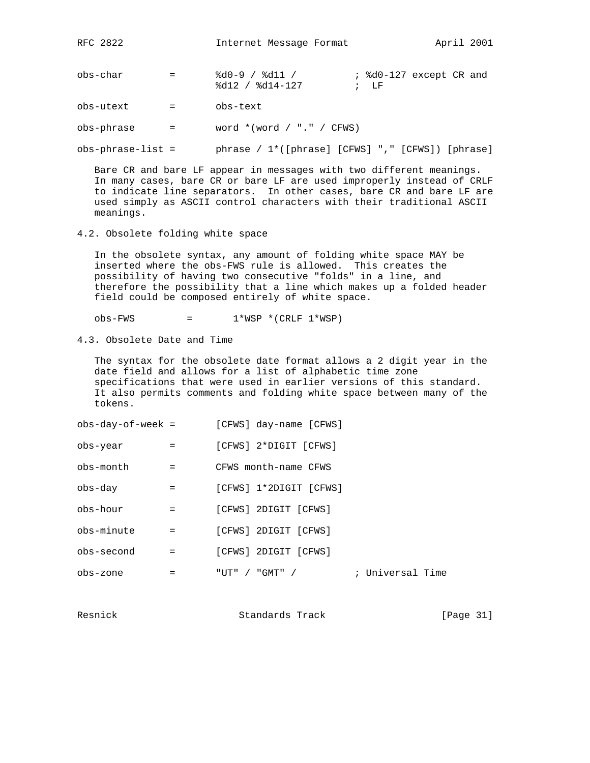obs-char = %d0-9 / %d11 / ; %d0-127 except CR and %d12 / %d14-127 *;* LF

obs-utext = obs-text

 $obs-phrase$  = word  $*(word / "." / CFWS)$ 

obs-phrase-list = phrase / 1\*([phrase] [CFWS] "," [CFWS]) [phrase]

 Bare CR and bare LF appear in messages with two different meanings. In many cases, bare CR or bare LF are used improperly instead of CRLF to indicate line separators. In other cases, bare CR and bare LF are used simply as ASCII control characters with their traditional ASCII meanings.

4.2. Obsolete folding white space

 In the obsolete syntax, any amount of folding white space MAY be inserted where the obs-FWS rule is allowed. This creates the possibility of having two consecutive "folds" in a line, and therefore the possibility that a line which makes up a folded header field could be composed entirely of white space.

 $obs-FWS$  =  $1*WSP * (CRLF 1*WSP)$ 

4.3. Obsolete Date and Time

 The syntax for the obsolete date format allows a 2 digit year in the date field and allows for a list of alphabetic time zone specifications that were used in earlier versions of this standard. It also permits comments and folding white space between many of the tokens.

| obs-day-of-week =                   |                                                                               |        | [CFWS] day-name [CFWS] |                  |  |
|-------------------------------------|-------------------------------------------------------------------------------|--------|------------------------|------------------|--|
| obs-year                            | $\mathbf{r} = \mathbf{r}$                                                     |        | [CFWS] 2*DIGIT [CFWS]  |                  |  |
| obs-month                           | $\mathbf{r} = \mathbf{r} \mathbf{r}$                                          |        | CFWS month-name CFWS   |                  |  |
| obs-day                             | $\mathcal{L} = \mathcal{L} = \mathcal{L}$                                     |        | [CFWS] 1*2DIGIT [CFWS] |                  |  |
| obs-hour                            | $=$ $-$                                                                       |        | [CFWS] 2DIGIT [CFWS]   |                  |  |
| obs-minute                          | $\mathbf{r} = \mathbf{r} \mathbf{r}$ and $\mathbf{r} = \mathbf{r} \mathbf{r}$ |        | [CFWS] 2DIGIT [CFWS]   |                  |  |
| obs-second                          | $=$                                                                           |        | [CFWS] 2DIGIT [CFWS]   |                  |  |
| obs-zone<br>$\sim$ $\sim$ $\approx$ |                                                                               | "UT" / | "GMT" /                | ; Universal Time |  |

Resnick Standards Track [Page 31]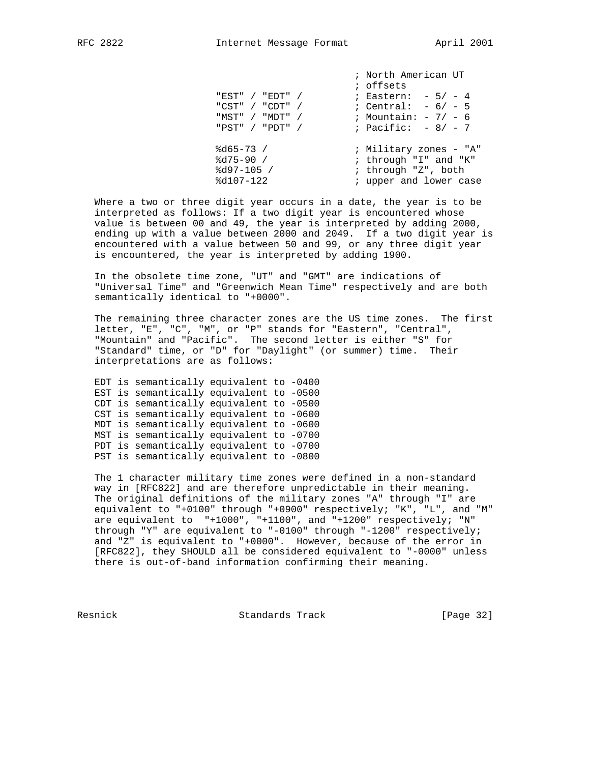| "EST" / "EDT" /<br>"CST" / "CDT" /<br>"MST" / "MDT" /<br>"PST" / "PDT" / | ; North American UT<br>; offsets<br>; Eastern: $-5/- 4$<br>; Central: $-6/-5$<br>; Mountain: $-7/-6$<br>; Pacific: $-8/-7$ |
|--------------------------------------------------------------------------|----------------------------------------------------------------------------------------------------------------------------|
| $8d65 - 73 /$<br>$8d75-90 /$<br>$8d97-105$ /<br>$8d107 - 122$            | ; Military zones - "A"<br>; through "I" and "K"<br>; through "Z", both<br>; upper and lower case                           |

 Where a two or three digit year occurs in a date, the year is to be interpreted as follows: If a two digit year is encountered whose value is between 00 and 49, the year is interpreted by adding 2000, ending up with a value between 2000 and 2049. If a two digit year is encountered with a value between 50 and 99, or any three digit year is encountered, the year is interpreted by adding 1900.

 In the obsolete time zone, "UT" and "GMT" are indications of "Universal Time" and "Greenwich Mean Time" respectively and are both semantically identical to "+0000".

 The remaining three character zones are the US time zones. The first letter, "E", "C", "M", or "P" stands for "Eastern", "Central", "Mountain" and "Pacific". The second letter is either "S" for "Standard" time, or "D" for "Daylight" (or summer) time. Their interpretations are as follows:

 EDT is semantically equivalent to -0400 EST is semantically equivalent to -0500 CDT is semantically equivalent to -0500 CST is semantically equivalent to -0600 MDT is semantically equivalent to -0600 MST is semantically equivalent to -0700 PDT is semantically equivalent to -0700 PST is semantically equivalent to -0800

 The 1 character military time zones were defined in a non-standard way in [RFC822] and are therefore unpredictable in their meaning. The original definitions of the military zones "A" through "I" are equivalent to "+0100" through "+0900" respectively; "K", "L", and "M" are equivalent to "+1000", "+1100", and "+1200" respectively; "N" through "Y" are equivalent to "-0100" through "-1200" respectively; and "Z" is equivalent to "+0000". However, because of the error in [RFC822], they SHOULD all be considered equivalent to "-0000" unless there is out-of-band information confirming their meaning.

Resnick Standards Track [Page 32]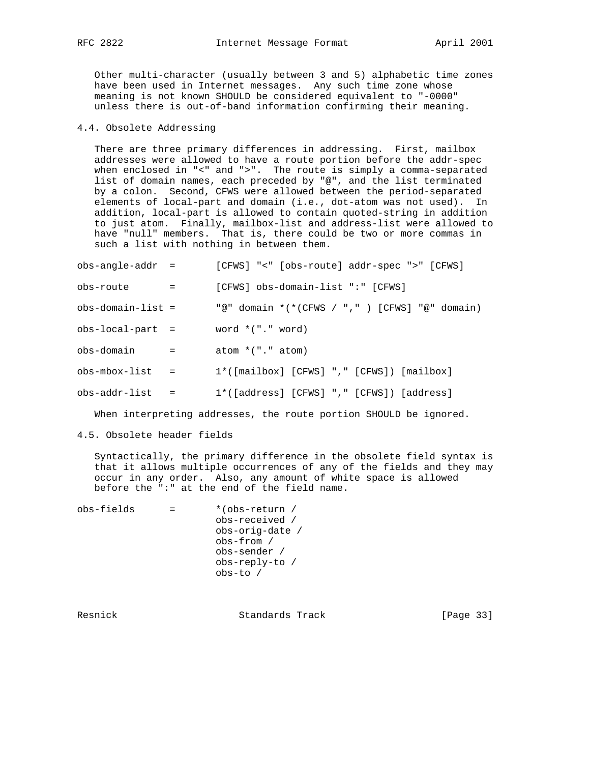Other multi-character (usually between 3 and 5) alphabetic time zones have been used in Internet messages. Any such time zone whose meaning is not known SHOULD be considered equivalent to "-0000" unless there is out-of-band information confirming their meaning.

## 4.4. Obsolete Addressing

 There are three primary differences in addressing. First, mailbox addresses were allowed to have a route portion before the addr-spec when enclosed in "<" and ">". The route is simply a comma-separated list of domain names, each preceded by "@", and the list terminated by a colon. Second, CFWS were allowed between the period-separated elements of local-part and domain (i.e., dot-atom was not used). In addition, local-part is allowed to contain quoted-string in addition to just atom. Finally, mailbox-list and address-list were allowed to have "null" members. That is, there could be two or more commas in such a list with nothing in between them.

| obs-angle-addr =    |              | [CFWS] "<" [obs-route] addr-spec ">" [CFWS]      |
|---------------------|--------------|--------------------------------------------------|
| obs-route           | $=$          | [CFWS] obs-domain-list ":" [CFWS]                |
| $obs-domain-list =$ |              | "@" domain $*(*(CFWS / ","")$ [CFWS] "@" domain) |
| $obs-local-part =$  |              | word $*(".$ word)                                |
| obs-domain          | $\alpha = 1$ | atom $*(".$ atom)                                |
| $obs-mbox-list =$   |              | $1*([mailbox] [CFWS] "," [CFWS]) [mailbox]$      |
| obs-addr-list       |              | $1*([address] [CFWS] "," [CFWS]) [address]$      |

When interpreting addresses, the route portion SHOULD be ignored.

4.5. Obsolete header fields

 Syntactically, the primary difference in the obsolete field syntax is that it allows multiple occurrences of any of the fields and they may occur in any order. Also, any amount of white space is allowed before the ":" at the end of the field name.

| obs-fields | *(obs-return /  |
|------------|-----------------|
|            | obs-received /  |
|            | obs-orig-date / |
|            | obs-from /      |
|            | obs-sender /    |
|            | obs-reply-to /  |
|            | $obs-to$ /      |
|            |                 |

Resnick Standards Track [Page 33]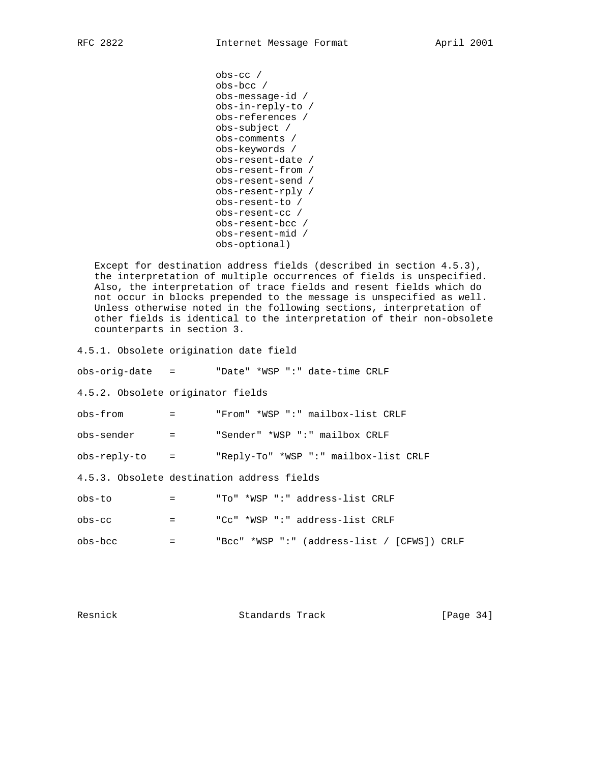```
 obs-cc /
 obs-bcc /
 obs-message-id /
 obs-in-reply-to /
 obs-references /
 obs-subject /
 obs-comments /
 obs-keywords /
 obs-resent-date /
 obs-resent-from /
 obs-resent-send /
 obs-resent-rply /
 obs-resent-to /
 obs-resent-cc /
 obs-resent-bcc /
 obs-resent-mid /
 obs-optional)
```
 Except for destination address fields (described in section 4.5.3), the interpretation of multiple occurrences of fields is unspecified. Also, the interpretation of trace fields and resent fields which do not occur in blocks prepended to the message is unspecified as well. Unless otherwise noted in the following sections, interpretation of other fields is identical to the interpretation of their non-obsolete counterparts in section 3.

4.5.1. Obsolete origination date field

obs-orig-date = "Date" \*WSP ":" date-time CRLF

4.5.2. Obsolete originator fields

obs-from = "From" \*WSP ":" mailbox-list CRLF

obs-sender = "Sender" \*WSP ":" mailbox CRLF

obs-reply-to = "Reply-To" \*WSP ":" mailbox-list CRLF

4.5.3. Obsolete destination address fields

| obs-to  | $=$ | "To" *WSP ":" address-list CRLF             |
|---------|-----|---------------------------------------------|
| obs-cc  | $=$ | "Cc" *WSP ":" address-list CRLF             |
| obs-bcc | $=$ | "Bcc" *WSP ":" (address-list / [CFWS]) CRLF |

Resnick Standards Track [Page 34]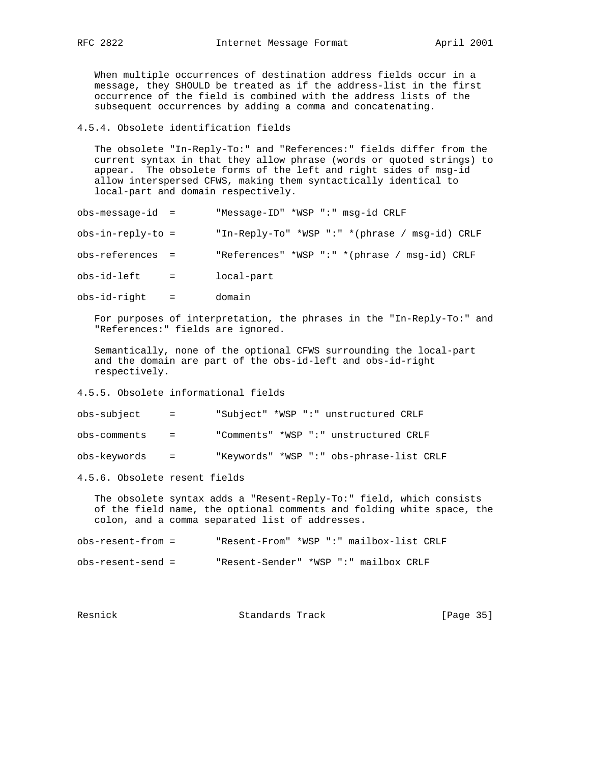When multiple occurrences of destination address fields occur in a message, they SHOULD be treated as if the address-list in the first occurrence of the field is combined with the address lists of the subsequent occurrences by adding a comma and concatenating.

#### 4.5.4. Obsolete identification fields

 The obsolete "In-Reply-To:" and "References:" fields differ from the current syntax in that they allow phrase (words or quoted strings) to appear. The obsolete forms of the left and right sides of msg-id allow interspersed CFWS, making them syntactically identical to local-part and domain respectively.

| $obs-message-id =$  |     | "Message-ID" *WSP ":" msg-id CRLF              |
|---------------------|-----|------------------------------------------------|
| $obs-in-reply-to =$ |     | "In-Reply-To" *WSP ":" *(phrase / msq-id) CRLF |
| $obs-references =$  |     | "References" *WSP ":" *(phrase / msq-id) CRLF  |
| obs-id-left         | $=$ | local-part                                     |
|                     |     |                                                |

obs-id-right = domain

 For purposes of interpretation, the phrases in the "In-Reply-To:" and "References:" fields are ignored.

 Semantically, none of the optional CFWS surrounding the local-part and the domain are part of the obs-id-left and obs-id-right respectively.

## 4.5.5. Obsolete informational fields

obs-subject = "Subject" \*WSP ":" unstructured CRLF

obs-comments = "Comments" \*WSP ":" unstructured CRLF

obs-keywords = "Keywords" \*WSP ":" obs-phrase-list CRLF

4.5.6. Obsolete resent fields

 The obsolete syntax adds a "Resent-Reply-To:" field, which consists of the field name, the optional comments and folding white space, the colon, and a comma separated list of addresses.

| $obs-resent-from =$ |                                       | "Resent-From" *WSP ":" mailbox-list CRLF |
|---------------------|---------------------------------------|------------------------------------------|
| obs-resent-send =   | "Resent-Sender" *WSP ":" mailbox CRLF |                                          |

| Resnick | Standards Track | [Page 35] |  |
|---------|-----------------|-----------|--|
|         |                 |           |  |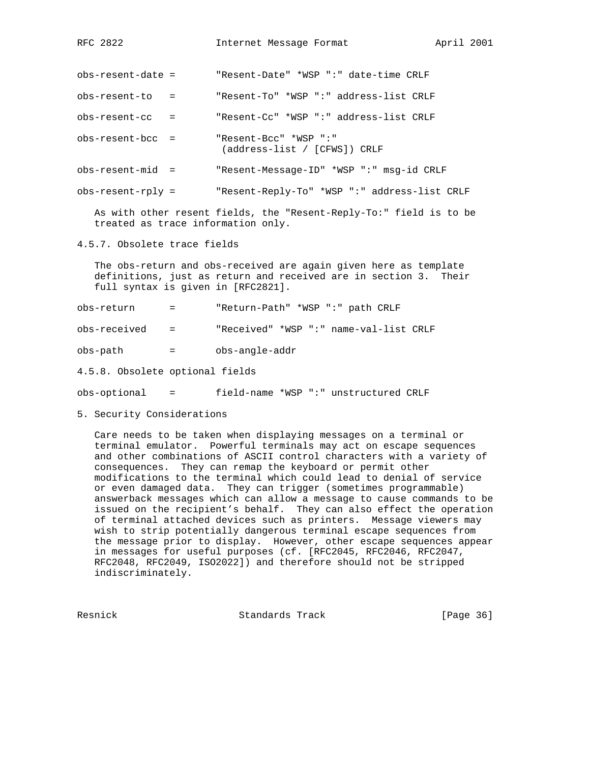obs-resent-date = "Resent-Date" \*WSP ":" date-time CRLF

obs-resent-to = "Resent-To" \*WSP ":" address-list CRLF

obs-resent-cc = "Resent-Cc" \*WSP ":" address-list CRLF

obs-resent-bcc = "Resent-Bcc" \*WSP ":" (address-list / [CFWS]) CRLF

obs-resent-mid = "Resent-Message-ID" \*WSP ":" msg-id CRLF

obs-resent-rply = "Resent-Reply-To" \*WSP ":" address-list CRLF

 As with other resent fields, the "Resent-Reply-To:" field is to be treated as trace information only.

4.5.7. Obsolete trace fields

 The obs-return and obs-received are again given here as template definitions, just as return and received are in section 3. Their full syntax is given in [RFC2821].

obs-return = "Return-Path" \*WSP ":" path CRLF

obs-received = "Received" \*WSP ":" name-val-list CRLF

obs-path = obs-angle-addr

4.5.8. Obsolete optional fields

obs-optional = field-name \*WSP ":" unstructured CRLF

5. Security Considerations

 Care needs to be taken when displaying messages on a terminal or terminal emulator. Powerful terminals may act on escape sequences and other combinations of ASCII control characters with a variety of consequences. They can remap the keyboard or permit other modifications to the terminal which could lead to denial of service or even damaged data. They can trigger (sometimes programmable) answerback messages which can allow a message to cause commands to be issued on the recipient's behalf. They can also effect the operation of terminal attached devices such as printers. Message viewers may wish to strip potentially dangerous terminal escape sequences from the message prior to display. However, other escape sequences appear in messages for useful purposes (cf. [RFC2045, RFC2046, RFC2047, RFC2048, RFC2049, ISO2022]) and therefore should not be stripped indiscriminately.

Resnick Standards Track [Page 36]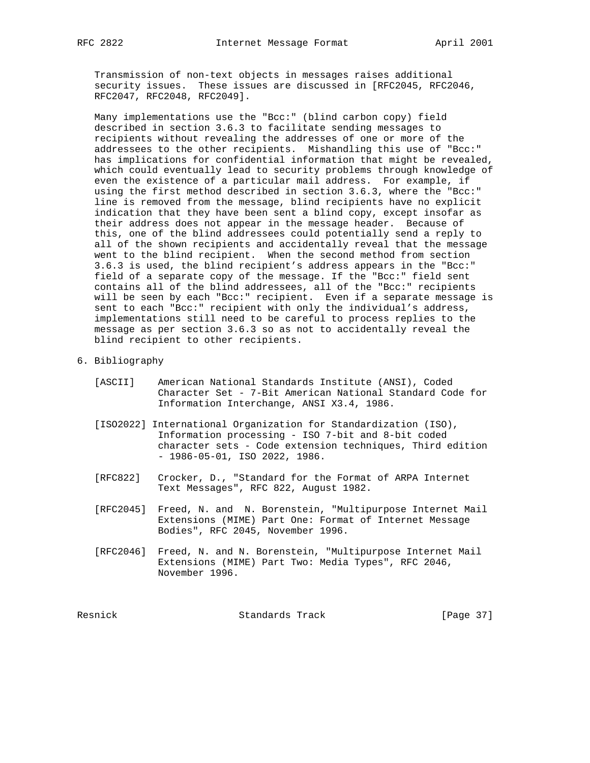Transmission of non-text objects in messages raises additional security issues. These issues are discussed in [RFC2045, RFC2046, RFC2047, RFC2048, RFC2049].

 Many implementations use the "Bcc:" (blind carbon copy) field described in section 3.6.3 to facilitate sending messages to recipients without revealing the addresses of one or more of the addressees to the other recipients. Mishandling this use of "Bcc:" has implications for confidential information that might be revealed, which could eventually lead to security problems through knowledge of even the existence of a particular mail address. For example, if using the first method described in section 3.6.3, where the "Bcc:" line is removed from the message, blind recipients have no explicit indication that they have been sent a blind copy, except insofar as their address does not appear in the message header. Because of this, one of the blind addressees could potentially send a reply to all of the shown recipients and accidentally reveal that the message went to the blind recipient. When the second method from section 3.6.3 is used, the blind recipient's address appears in the "Bcc:" field of a separate copy of the message. If the "Bcc:" field sent contains all of the blind addressees, all of the "Bcc:" recipients will be seen by each "Bcc:" recipient. Even if a separate message is sent to each "Bcc:" recipient with only the individual's address, implementations still need to be careful to process replies to the message as per section 3.6.3 so as not to accidentally reveal the blind recipient to other recipients.

- 6. Bibliography
	- [ASCII] American National Standards Institute (ANSI), Coded Character Set - 7-Bit American National Standard Code for Information Interchange, ANSI X3.4, 1986.
	- [ISO2022] International Organization for Standardization (ISO), Information processing - ISO 7-bit and 8-bit coded character sets - Code extension techniques, Third edition - 1986-05-01, ISO 2022, 1986.
	- [RFC822] Crocker, D., "Standard for the Format of ARPA Internet Text Messages", RFC 822, August 1982.
	- [RFC2045] Freed, N. and N. Borenstein, "Multipurpose Internet Mail Extensions (MIME) Part One: Format of Internet Message Bodies", RFC 2045, November 1996.
	- [RFC2046] Freed, N. and N. Borenstein, "Multipurpose Internet Mail Extensions (MIME) Part Two: Media Types", RFC 2046, November 1996.

Resnick Standards Track [Page 37]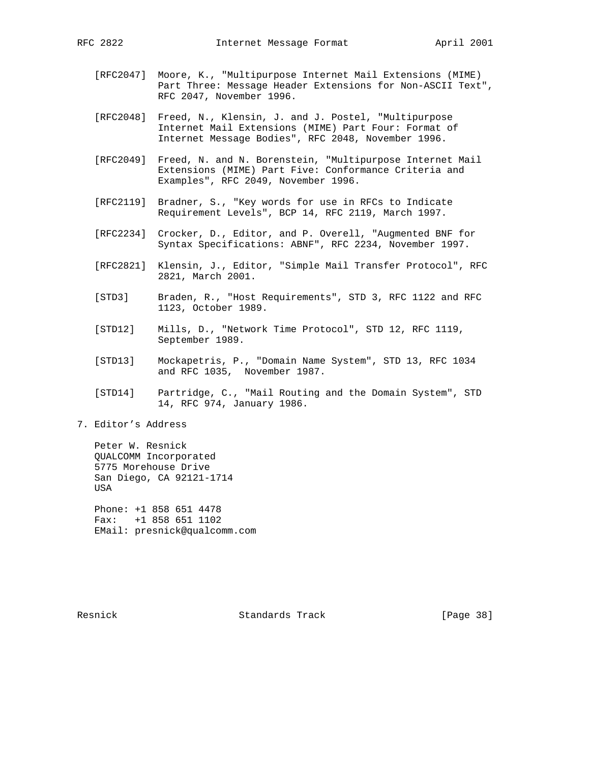- [RFC2047] Moore, K., "Multipurpose Internet Mail Extensions (MIME) Part Three: Message Header Extensions for Non-ASCII Text", RFC 2047, November 1996.
- [RFC2048] Freed, N., Klensin, J. and J. Postel, "Multipurpose Internet Mail Extensions (MIME) Part Four: Format of Internet Message Bodies", RFC 2048, November 1996.
- [RFC2049] Freed, N. and N. Borenstein, "Multipurpose Internet Mail Extensions (MIME) Part Five: Conformance Criteria and Examples", RFC 2049, November 1996.
- [RFC2119] Bradner, S., "Key words for use in RFCs to Indicate Requirement Levels", BCP 14, RFC 2119, March 1997.
- [RFC2234] Crocker, D., Editor, and P. Overell, "Augmented BNF for Syntax Specifications: ABNF", RFC 2234, November 1997.
- [RFC2821] Klensin, J., Editor, "Simple Mail Transfer Protocol", RFC 2821, March 2001.
- [STD3] Braden, R., "Host Requirements", STD 3, RFC 1122 and RFC 1123, October 1989.
- [STD12] Mills, D., "Network Time Protocol", STD 12, RFC 1119, September 1989.
- [STD13] Mockapetris, P., "Domain Name System", STD 13, RFC 1034 and RFC 1035, November 1987.
- [STD14] Partridge, C., "Mail Routing and the Domain System", STD 14, RFC 974, January 1986.
- 7. Editor's Address

 Peter W. Resnick QUALCOMM Incorporated 5775 Morehouse Drive San Diego, CA 92121-1714 USA

 Phone: +1 858 651 4478 Fax: +1 858 651 1102 EMail: presnick@qualcomm.com

Resnick **Standards Track** [Page 38]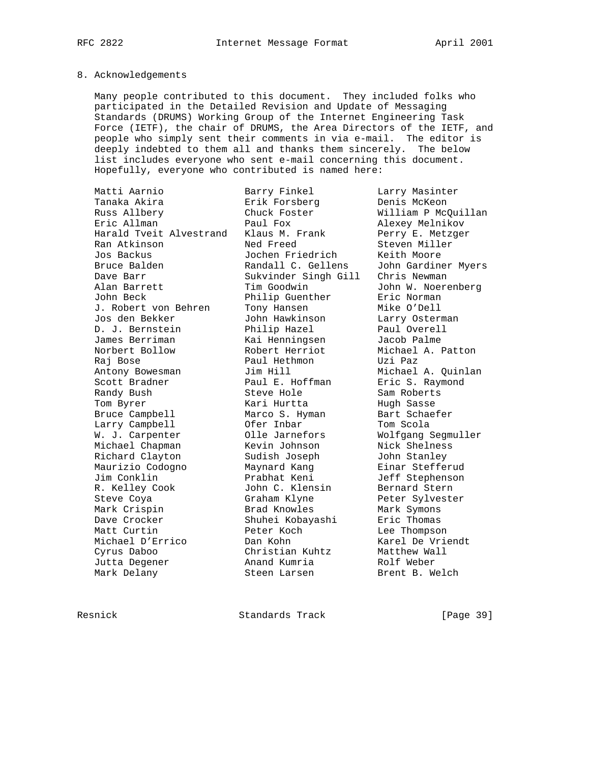## 8. Acknowledgements

 Many people contributed to this document. They included folks who participated in the Detailed Revision and Update of Messaging Standards (DRUMS) Working Group of the Internet Engineering Task Force (IETF), the chair of DRUMS, the Area Directors of the IETF, and people who simply sent their comments in via e-mail. The editor is deeply indebted to them all and thanks them sincerely. The below list includes everyone who sent e-mail concerning this document. Hopefully, everyone who contributed is named here:

| Matti Aarnio            | Barry Finkel         | Larry Masinter      |
|-------------------------|----------------------|---------------------|
| Tanaka Akira            | Erik Forsberg        | Denis McKeon        |
| Russ Allbery            | Chuck Foster         | William P McQuillan |
| Eric Allman             | Paul Fox             | Alexey Melnikov     |
| Harald Tyeit Alvestrand | Klaus M. Frank       | Perry E. Metzger    |
| Ran Atkinson            | Ned Freed            | Steven Miller       |
| Jos Backus              | Jochen Friedrich     | Keith Moore         |
| Bruce Balden            | Randall C. Gellens   | John Gardiner Myers |
| Dave Barr               | Sukvinder Singh Gill | Chris Newman        |
| Alan Barrett            | Tim Goodwin          | John W. Noerenberg  |
| John Beck               | Philip Guenther      | Eric Norman         |
| J. Robert von Behren    | Tony Hansen          | Mike O'Dell         |
| Jos den Bekker          | John Hawkinson       | Larry Osterman      |
| D. J. Bernstein         | Philip Hazel         | Paul Overell        |
| James Berriman          | Kai Henningsen       | Jacob Palme         |
| Norbert Bollow          | Robert Herriot       | Michael A. Patton   |
| Raj Bose                | Paul Hethmon         | Uzi Paz             |
| Antony Bowesman         | Jim Hill             | Michael A. Quinlan  |
| Scott Bradner           | Paul E. Hoffman      | Eric S. Raymond     |
| Randy Bush              | Steve Hole           | Sam Roberts         |
| Tom Byrer               | Kari Hurtta          | Hugh Sasse          |
| Bruce Campbell          | Marco S. Hyman       | Bart Schaefer       |
| Larry Campbell          | Ofer Inbar           | Tom Scola           |
| W. J. Carpenter         | Olle Jarnefors       | Wolfgang Segmuller  |
| Michael Chapman         | Kevin Johnson        | Nick Shelness       |
| Richard Clayton         | Sudish Joseph        | John Stanley        |
| Maurizio Codogno        | Maynard Kang         | Einar Stefferud     |
| Jim Conklin             | Prabhat Keni         | Jeff Stephenson     |
| R. Kelley Cook          | John C. Klensin      | Bernard Stern       |
| Steve Coya              | Graham Klyne         | Peter Sylvester     |
| Mark Crispin            | Brad Knowles         | Mark Symons         |
| Dave Crocker            | Shuhei Kobayashi     | Eric Thomas         |
| Matt Curtin             | Peter Koch           | Lee Thompson        |
| Michael D'Errico        | Dan Kohn             | Karel De Vriendt    |
| Cyrus Daboo             | Christian Kuhtz      | Matthew Wall        |
| Jutta Degener           | Anand Kumria         | Rolf Weber          |
| Mark Delany             | Steen Larsen         | Brent B. Welch      |

Resnick Standards Track [Page 39]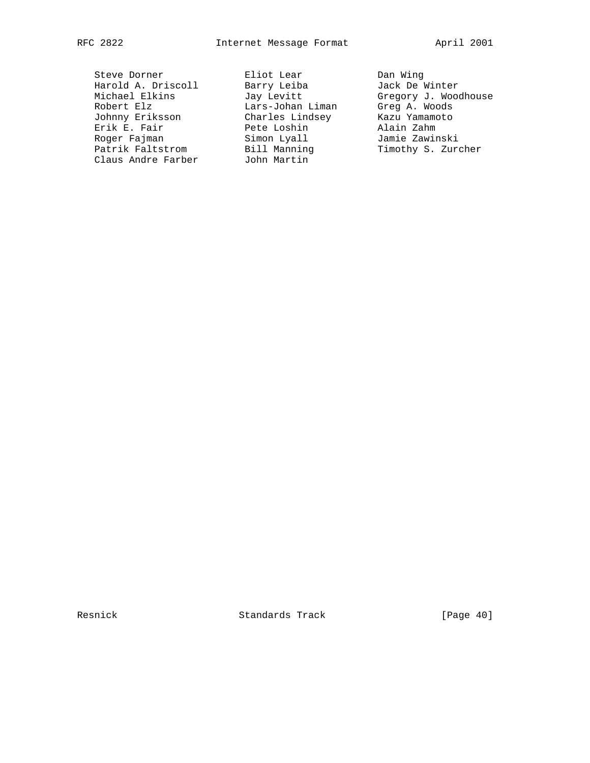Steve Dorner Eliot Lear Dan Wing Harold A. Driscoll Barry Leiba Jack De Winter Robert Elz Lars-Johan Liman Greg A. Woods Johnny Eriksson Charles Lindsey Kazu Yamamoto Erik E. Fair Pete Loshin Alain Zahm Roger Fajman Simon Lyall Jamie Zawinski Patrik Faltstrom Bill Manning Timothy S. Zurcher Claus Andre Farber John Martin

Michael Elkins Jay Levitt Gregory J. Woodhouse

Resnick **Standards Track** [Page 40]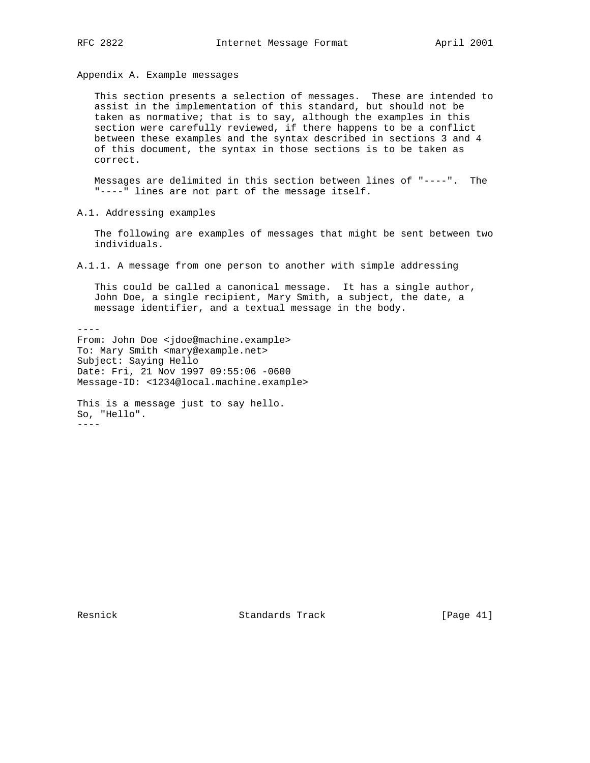Appendix A. Example messages

 This section presents a selection of messages. These are intended to assist in the implementation of this standard, but should not be taken as normative; that is to say, although the examples in this section were carefully reviewed, if there happens to be a conflict between these examples and the syntax described in sections 3 and 4 of this document, the syntax in those sections is to be taken as correct.

 Messages are delimited in this section between lines of "----". The "----" lines are not part of the message itself.

A.1. Addressing examples

 The following are examples of messages that might be sent between two individuals.

A.1.1. A message from one person to another with simple addressing

 This could be called a canonical message. It has a single author, John Doe, a single recipient, Mary Smith, a subject, the date, a message identifier, and a textual message in the body.

---- From: John Doe <jdoe@machine.example> To: Mary Smith <mary@example.net> Subject: Saying Hello Date: Fri, 21 Nov 1997 09:55:06 -0600 Message-ID: <1234@local.machine.example>

This is a message just to say hello. So, "Hello". ----

Resnick Standards Track [Page 41]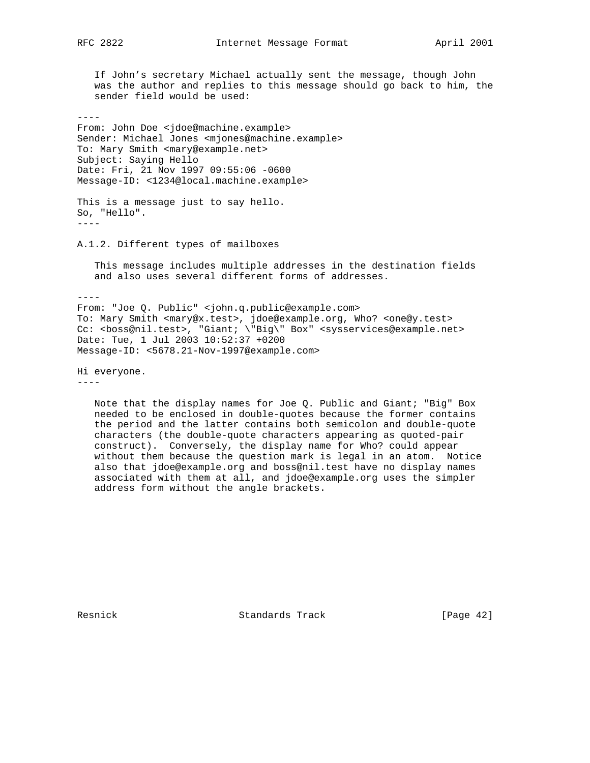If John's secretary Michael actually sent the message, though John was the author and replies to this message should go back to him, the sender field would be used:

#### ----

From: John Doe <jdoe@machine.example> Sender: Michael Jones <mjones@machine.example> To: Mary Smith <mary@example.net> Subject: Saying Hello Date: Fri, 21 Nov 1997 09:55:06 -0600 Message-ID: <1234@local.machine.example>

This is a message just to say hello. So, "Hello". ----

A.1.2. Different types of mailboxes

 This message includes multiple addresses in the destination fields and also uses several different forms of addresses.

----

From: "Joe Q. Public" <john.q.public@example.com> To: Mary Smith <mary@x.test>, jdoe@example.org, Who? <one@y.test> Cc: <boss@nil.test>, "Giant; \"Big\" Box" <sysservices@example.net> Date: Tue, 1 Jul 2003 10:52:37 +0200 Message-ID: <5678.21-Nov-1997@example.com>

Hi everyone.

----

 Note that the display names for Joe Q. Public and Giant; "Big" Box needed to be enclosed in double-quotes because the former contains the period and the latter contains both semicolon and double-quote characters (the double-quote characters appearing as quoted-pair construct). Conversely, the display name for Who? could appear without them because the question mark is legal in an atom. Notice also that jdoe@example.org and boss@nil.test have no display names associated with them at all, and jdoe@example.org uses the simpler address form without the angle brackets.

Resnick Standards Track [Page 42]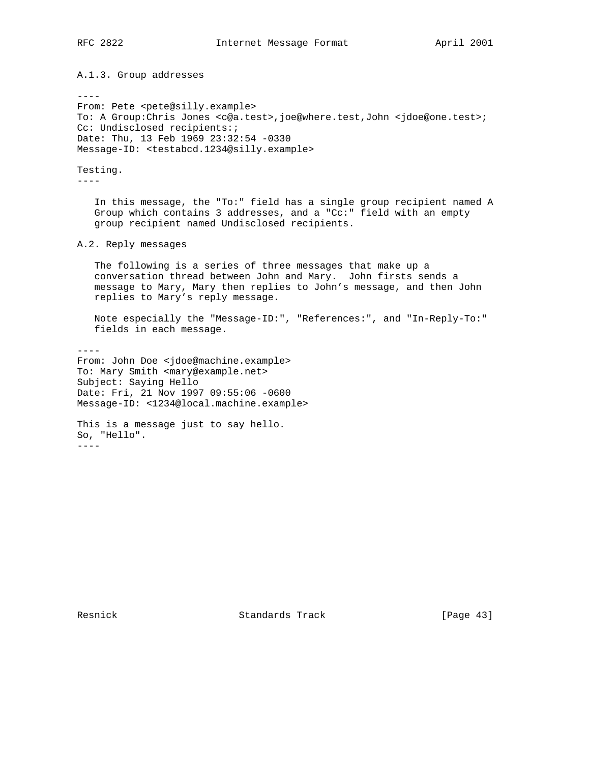A.1.3. Group addresses

----

From: Pete <pete@silly.example> To: A Group:Chris Jones <c@a.test>,joe@where.test,John <jdoe@one.test>; Cc: Undisclosed recipients:; Date: Thu, 13 Feb 1969 23:32:54 -0330 Message-ID: <testabcd.1234@silly.example>

Testing.

----

 In this message, the "To:" field has a single group recipient named A Group which contains 3 addresses, and a "Cc:" field with an empty group recipient named Undisclosed recipients.

A.2. Reply messages

 The following is a series of three messages that make up a conversation thread between John and Mary. John firsts sends a message to Mary, Mary then replies to John's message, and then John replies to Mary's reply message.

 Note especially the "Message-ID:", "References:", and "In-Reply-To:" fields in each message.

---- From: John Doe <jdoe@machine.example> To: Mary Smith <mary@example.net> Subject: Saying Hello Date: Fri, 21 Nov 1997 09:55:06 -0600 Message-ID: <1234@local.machine.example>

This is a message just to say hello. So, "Hello". ----

Resnick Standards Track [Page 43]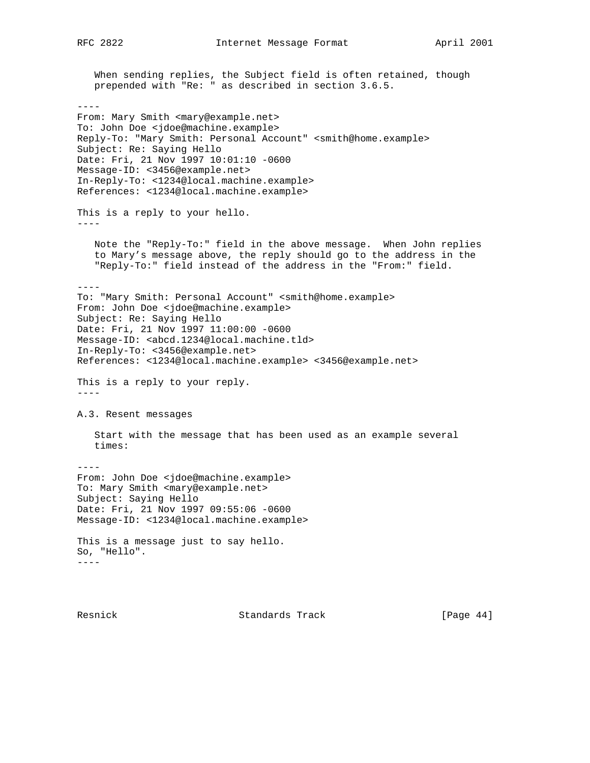When sending replies, the Subject field is often retained, though prepended with "Re: " as described in section 3.6.5. ---- From: Mary Smith <mary@example.net> To: John Doe <jdoe@machine.example> Reply-To: "Mary Smith: Personal Account" <smith@home.example> Subject: Re: Saying Hello Date: Fri, 21 Nov 1997 10:01:10 -0600 Message-ID: <3456@example.net> In-Reply-To: <1234@local.machine.example> References: <1234@local.machine.example> This is a reply to your hello. ---- Note the "Reply-To:" field in the above message. When John replies to Mary's message above, the reply should go to the address in the "Reply-To:" field instead of the address in the "From:" field. ---- To: "Mary Smith: Personal Account" <smith@home.example> From: John Doe <jdoe@machine.example> Subject: Re: Saying Hello Date: Fri, 21 Nov 1997 11:00:00 -0600 Message-ID: <abcd.1234@local.machine.tld> In-Reply-To: <3456@example.net> References: <1234@local.machine.example> <3456@example.net> This is a reply to your reply.  $---$ A.3. Resent messages Start with the message that has been used as an example several times: ---- From: John Doe <jdoe@machine.example> To: Mary Smith <mary@example.net> Subject: Saying Hello Date: Fri, 21 Nov 1997 09:55:06 -0600 Message-ID: <1234@local.machine.example> This is a message just to say hello. So, "Hello". ----

Resnick **Standards Track** [Page 44]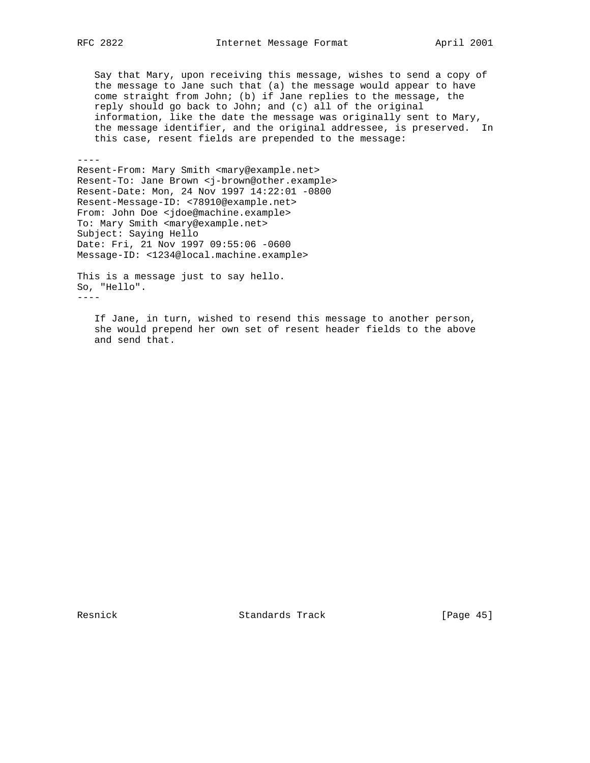Say that Mary, upon receiving this message, wishes to send a copy of the message to Jane such that (a) the message would appear to have come straight from John; (b) if Jane replies to the message, the reply should go back to John; and (c) all of the original information, like the date the message was originally sent to Mary, the message identifier, and the original addressee, is preserved. In this case, resent fields are prepended to the message:

----

Resent-From: Mary Smith <mary@example.net> Resent-To: Jane Brown <j-brown@other.example> Resent-Date: Mon, 24 Nov 1997 14:22:01 -0800 Resent-Message-ID: <78910@example.net> From: John Doe <jdoe@machine.example> To: Mary Smith <mary@example.net> Subject: Saying Hello Date: Fri, 21 Nov 1997 09:55:06 -0600 Message-ID: <1234@local.machine.example>

This is a message just to say hello. So, "Hello". ----

 If Jane, in turn, wished to resend this message to another person, she would prepend her own set of resent header fields to the above and send that.

Resnick Standards Track [Page 45]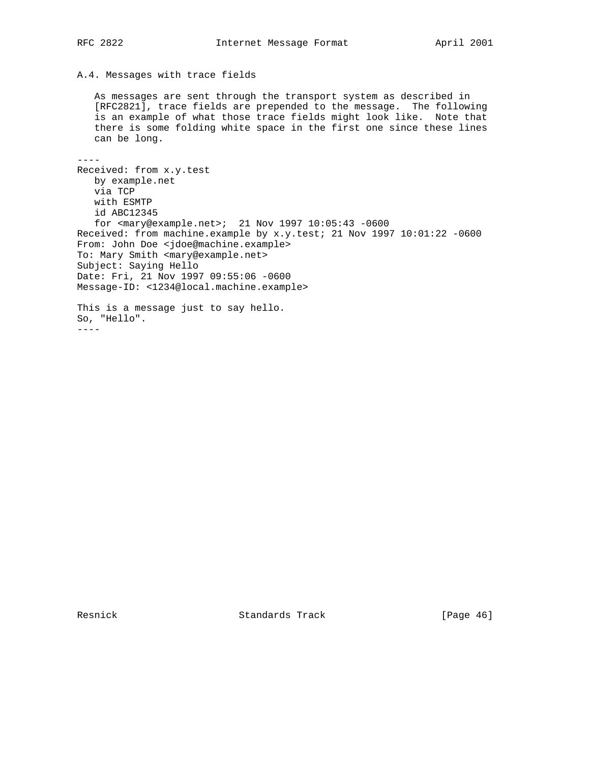## A.4. Messages with trace fields

 As messages are sent through the transport system as described in [RFC2821], trace fields are prepended to the message. The following is an example of what those trace fields might look like. Note that there is some folding white space in the first one since these lines can be long.

 $-$ 

Received: from x.y.test by example.net via TCP with ESMTP id ABC12345 for <mary@example.net>; 21 Nov 1997 10:05:43 -0600 Received: from machine.example by x.y.test; 21 Nov 1997 10:01:22 -0600 From: John Doe <jdoe@machine.example> To: Mary Smith <mary@example.net> Subject: Saying Hello Date: Fri, 21 Nov 1997 09:55:06 -0600 Message-ID: <1234@local.machine.example> This is a message just to say hello. So, "Hello".

----

Resnick Standards Track [Page 46]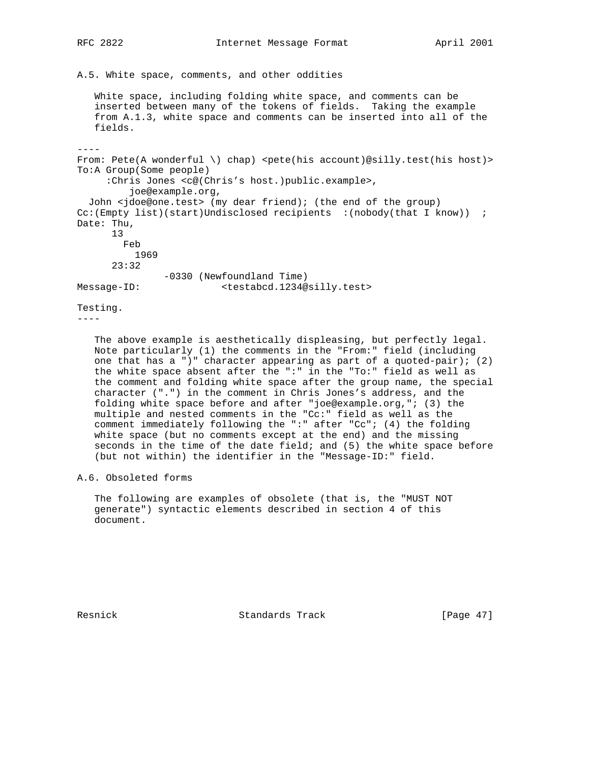A.5. White space, comments, and other oddities

 White space, including folding white space, and comments can be inserted between many of the tokens of fields. Taking the example from A.1.3, white space and comments can be inserted into all of the fields.

----

From: Pete(A wonderful \) chap) <pete(his account)@silly.test(his host)> To:A Group(Some people) :Chris Jones <c@(Chris's host.)public.example>, joe@example.org, John <jdoe@one.test> (my dear friend); (the end of the group) Cc:(Empty list)(start)Undisclosed recipients :(nobody(that I know)) ; Date: Thu, 13 Feb 1969 23:32 -0330 (Newfoundland Time) Message-ID: <testabcd.1234@silly.test>

Testing.

----

 The above example is aesthetically displeasing, but perfectly legal. Note particularly (1) the comments in the "From:" field (including one that has a ")" character appearing as part of a quoted-pair); (2) the white space absent after the ":" in the "To:" field as well as the comment and folding white space after the group name, the special character (".") in the comment in Chris Jones's address, and the folding white space before and after "joe@example.org,"; (3) the multiple and nested comments in the "Cc:" field as well as the comment immediately following the ":" after "Cc"; (4) the folding white space (but no comments except at the end) and the missing seconds in the time of the date field; and (5) the white space before (but not within) the identifier in the "Message-ID:" field.

A.6. Obsoleted forms

 The following are examples of obsolete (that is, the "MUST NOT generate") syntactic elements described in section 4 of this document.

Resnick **Standards Track** [Page 47]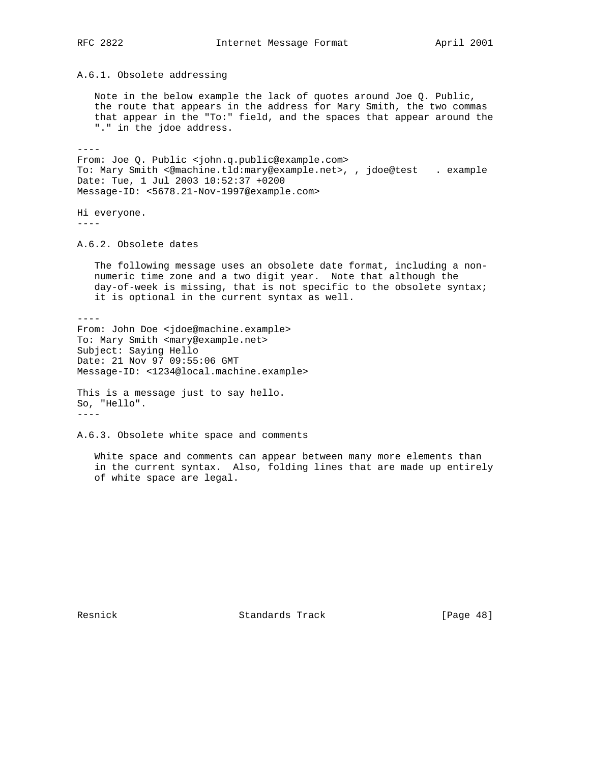A.6.1. Obsolete addressing

 Note in the below example the lack of quotes around Joe Q. Public, the route that appears in the address for Mary Smith, the two commas that appear in the "To:" field, and the spaces that appear around the "." in the jdoe address.

----

 $-$ 

From: Joe Q. Public <john.q.public@example.com> To: Mary Smith <@machine.tld:mary@example.net>, , jdoe@test . example Date: Tue, 1 Jul 2003 10:52:37 +0200 Message-ID: <5678.21-Nov-1997@example.com>

Hi everyone. ----

A.6.2. Obsolete dates

 The following message uses an obsolete date format, including a non numeric time zone and a two digit year. Note that although the day-of-week is missing, that is not specific to the obsolete syntax; it is optional in the current syntax as well.

From: John Doe <jdoe@machine.example> To: Mary Smith <mary@example.net> Subject: Saying Hello Date: 21 Nov 97 09:55:06 GMT Message-ID: <1234@local.machine.example>

This is a message just to say hello. So, "Hello". ----

A.6.3. Obsolete white space and comments

 White space and comments can appear between many more elements than in the current syntax. Also, folding lines that are made up entirely of white space are legal.

Resnick Standards Track [Page 48]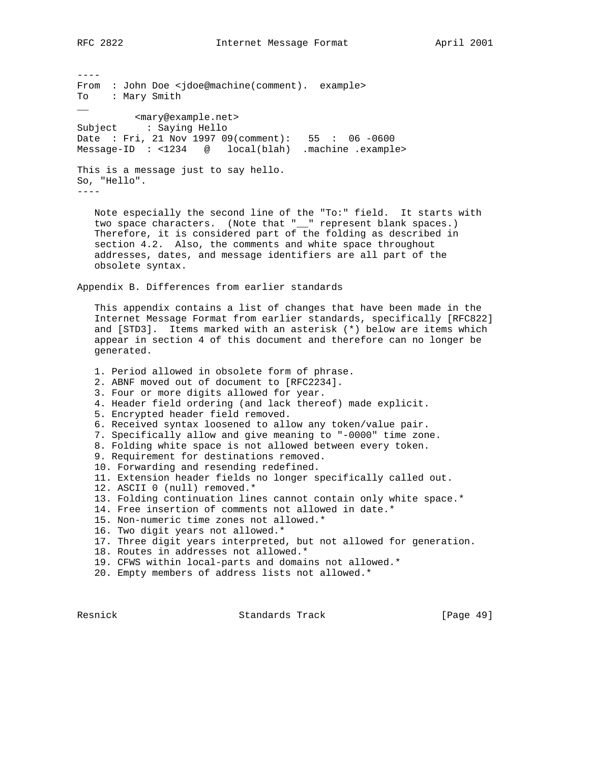---- From : John Doe <jdoe@machine(comment). example> To : Mary Smith  $\overline{\phantom{a}}$  <mary@example.net> Subject : Saying Hello Date : Fri, 21 Nov 1997 09(comment): 55 : 06 -0600 Message-ID : <1234 @ local(blah) .machine .example> This is a message just to say hello. So, "Hello". ---- Note especially the second line of the "To:" field. It starts with

two space characters. (Note that "\_\_" represent blank spaces.) Therefore, it is considered part of the folding as described in section 4.2. Also, the comments and white space throughout addresses, dates, and message identifiers are all part of the obsolete syntax.

Appendix B. Differences from earlier standards

 This appendix contains a list of changes that have been made in the Internet Message Format from earlier standards, specifically [RFC822] and [STD3]. Items marked with an asterisk (\*) below are items which appear in section 4 of this document and therefore can no longer be generated.

- 1. Period allowed in obsolete form of phrase.
- 2. ABNF moved out of document to [RFC2234].
- 3. Four or more digits allowed for year.
- 4. Header field ordering (and lack thereof) made explicit.
- 5. Encrypted header field removed.
- 6. Received syntax loosened to allow any token/value pair.
- 7. Specifically allow and give meaning to "-0000" time zone.
- 8. Folding white space is not allowed between every token.
- 9. Requirement for destinations removed.
- 10. Forwarding and resending redefined.
- 11. Extension header fields no longer specifically called out.
- 12. ASCII 0 (null) removed.\*

13. Folding continuation lines cannot contain only white space.\*

- 14. Free insertion of comments not allowed in date.\*
- 15. Non-numeric time zones not allowed.\*
- 16. Two digit years not allowed.\*
- 17. Three digit years interpreted, but not allowed for generation.
- 18. Routes in addresses not allowed.\*
- 19. CFWS within local-parts and domains not allowed.\*
- 20. Empty members of address lists not allowed.\*

Resnick **Standards Track** [Page 49]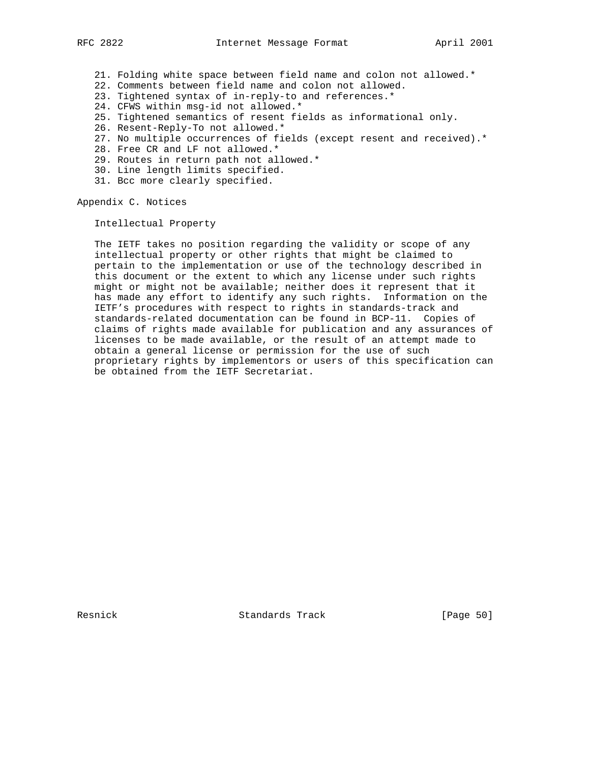- 21. Folding white space between field name and colon not allowed.\*
- 22. Comments between field name and colon not allowed.
- 23. Tightened syntax of in-reply-to and references.\*
- 24. CFWS within msg-id not allowed.\*
- 25. Tightened semantics of resent fields as informational only.
- 26. Resent-Reply-To not allowed.\*
- 27. No multiple occurrences of fields (except resent and received).\*
- 28. Free CR and LF not allowed.\*
- 29. Routes in return path not allowed.\*
- 30. Line length limits specified.
- 31. Bcc more clearly specified.

Appendix C. Notices

Intellectual Property

 The IETF takes no position regarding the validity or scope of any intellectual property or other rights that might be claimed to pertain to the implementation or use of the technology described in this document or the extent to which any license under such rights might or might not be available; neither does it represent that it has made any effort to identify any such rights. Information on the IETF's procedures with respect to rights in standards-track and standards-related documentation can be found in BCP-11. Copies of claims of rights made available for publication and any assurances of licenses to be made available, or the result of an attempt made to obtain a general license or permission for the use of such proprietary rights by implementors or users of this specification can be obtained from the IETF Secretariat.

Resnick Standards Track [Page 50]